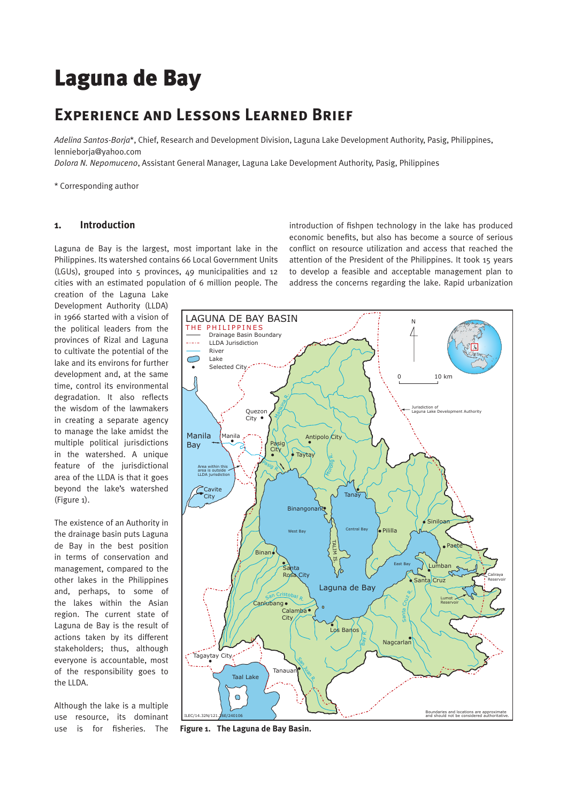# Laguna de Bay

## **Experience and Lessons Learned Brief**

*Adelina Santos-Borja*\*, Chief, Research and Development Division, Laguna Lake Development Authority, Pasig, Philippines, lennieborja@yahoo.com

*Dolora N. Nepomuceno*, Assistant General Manager, Laguna Lake Development Authority, Pasig, Philippines

\* Corresponding author

#### **1. Introduction**

Laguna de Bay is the largest, most important lake in the Philippines. Its watershed contains 66 Local Government Units (LGUs), grouped into 5 provinces, 49 municipalities and 12 cities with an estimated population of 6 million people. The introduction of fishpen technology in the lake has produced economic benefits, but also has become a source of serious conflict on resource utilization and access that reached the attention of the President of the Philippines. It took 15 years to develop a feasible and acceptable management plan to address the concerns regarding the lake. Rapid urbanization

creation of the Laguna Lake Development Authority (LLDA) in 1966 started with a vision of the political leaders from the provinces of Rizal and Laguna to cultivate the potential of the lake and its environs for further development and, at the same time, control its environmental degradation. It also reflects the wisdom of the lawmakers in creating a separate agency to manage the lake amidst the multiple political jurisdictions in the watershed. A unique feature of the jurisdictional area of the LLDA is that it goes beyond the lake's watershed (Figure 1).

The existence of an Authority in the drainage basin puts Laguna de Bay in the best position in terms of conservation and management, compared to the other lakes in the Philippines and, perhaps, to some of the lakes within the Asian region. The current state of Laguna de Bay is the result of actions taken by its different stakeholders; thus, although everyone is accountable, most of the responsibility goes to the LLDA.

Although the lake is a multiple use resource, its dominant use is for fisheries. The



**Figure 1. The Laguna de Bay Basin.**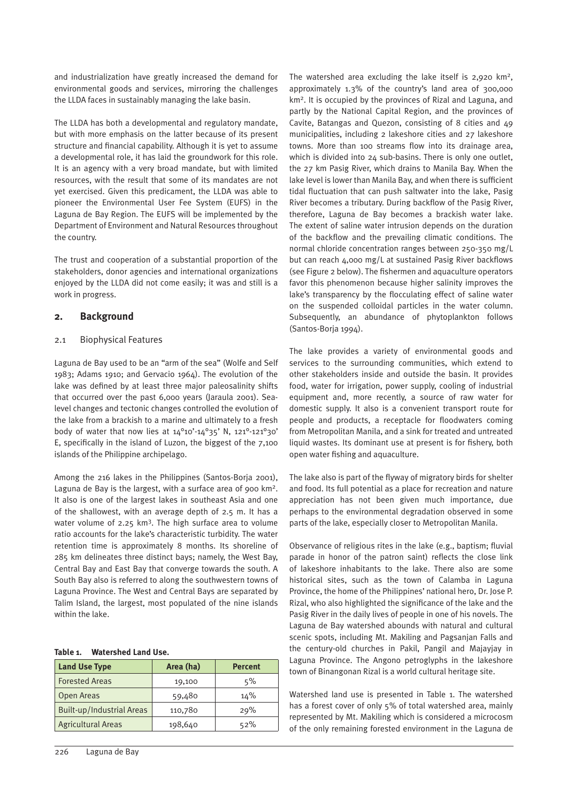and industrialization have greatly increased the demand for environmental goods and services, mirroring the challenges the LLDA faces in sustainably managing the lake basin.

The LLDA has both a developmental and regulatory mandate, but with more emphasis on the latter because of its present structure and financial capability. Although it is yet to assume a developmental role, it has laid the groundwork for this role. It is an agency with a very broad mandate, but with limited resources, with the result that some of its mandates are not yet exercised. Given this predicament, the LLDA was able to pioneer the Environmental User Fee System (EUFS) in the Laguna de Bay Region. The EUFS will be implemented by the Department of Environment and Natural Resources throughout the country.

The trust and cooperation of a substantial proportion of the stakeholders, donor agencies and international organizations enjoyed by the LLDA did not come easily; it was and still is a work in progress.

#### **2. Background**

#### 2.1 Biophysical Features

Laguna de Bay used to be an "arm of the sea" (Wolfe and Self 1983; Adams 1910; and Gervacio 1964). The evolution of the lake was defined by at least three major paleosalinity shifts that occurred over the past 6,000 years (Jaraula 2001). Sealevel changes and tectonic changes controlled the evolution of the lake from a brackish to a marine and ultimately to a fresh body of water that now lies at 14°10'-14°35' N, 121°-121°30' E, specifically in the island of Luzon, the biggest of the 7,100 islands of the Philippine archipelago.

Among the 216 lakes in the Philippines (Santos-Borja 2001), Laguna de Bay is the largest, with a surface area of 900 km<sup>2</sup>. It also is one of the largest lakes in southeast Asia and one of the shallowest, with an average depth of 2.5 m. It has a water volume of 2.25 km<sup>3</sup>. The high surface area to volume ratio accounts for the lake's characteristic turbidity. The water retention time is approximately 8 months. Its shoreline of 285 km delineates three distinct bays; namely, the West Bay, Central Bay and East Bay that converge towards the south. A South Bay also is referred to along the southwestern towns of Laguna Province. The West and Central Bays are separated by Talim Island, the largest, most populated of the nine islands within the lake.

#### **Table 1. Watershed Land Use.**

| <b>Land Use Type</b>      | Area (ha) | <b>Percent</b> |  |  |
|---------------------------|-----------|----------------|--|--|
| <b>Forested Areas</b>     | 19,100    | 5%             |  |  |
| Open Areas                | 59,480    | 14%            |  |  |
| Built-up/Industrial Areas | 110,780   | 29%            |  |  |
| <b>Agricultural Areas</b> | 198,640   | 52%            |  |  |

The watershed area excluding the lake itself is  $2,920$  km<sup>2</sup>, approximately 1.3% of the country's land area of 300,000 km2. It is occupied by the provinces of Rizal and Laguna, and partly by the National Capital Region, and the provinces of Cavite, Batangas and Quezon, consisting of 8 cities and 49 municipalities, including 2 lakeshore cities and 27 lakeshore towns. More than 100 streams flow into its drainage area, which is divided into 24 sub-basins. There is only one outlet, the 27 km Pasig River, which drains to Manila Bay. When the lake level is lower than Manila Bay, and when there is sufficient tidal fluctuation that can push saltwater into the lake, Pasig River becomes a tributary. During backflow of the Pasig River, therefore, Laguna de Bay becomes a brackish water lake. The extent of saline water intrusion depends on the duration of the backflow and the prevailing climatic conditions. The normal chloride concentration ranges between 250-350 mg/L but can reach  $4,000 \text{ mg/L}$  at sustained Pasig River backflows (see Figure 2 below). The fishermen and aquaculture operators favor this phenomenon because higher salinity improves the lake's transparency by the flocculating effect of saline water on the suspended colloidal particles in the water column. Subsequently, an abundance of phytoplankton follows (Santos-Borja 1994).

The lake provides a variety of environmental goods and services to the surrounding communities, which extend to other stakeholders inside and outside the basin. It provides food, water for irrigation, power supply, cooling of industrial equipment and, more recently, a source of raw water for domestic supply. It also is a convenient transport route for people and products, a receptacle for floodwaters coming from Metropolitan Manila, and a sink for treated and untreated liquid wastes. Its dominant use at present is for fishery, both open water fishing and aquaculture.

The lake also is part of the flyway of migratory birds for shelter and food. Its full potential as a place for recreation and nature appreciation has not been given much importance, due perhaps to the environmental degradation observed in some parts of the lake, especially closer to Metropolitan Manila.

Observance of religious rites in the lake (e.g., baptism; fluvial parade in honor of the patron saint) reflects the close link of lakeshore inhabitants to the lake. There also are some historical sites, such as the town of Calamba in Laguna Province, the home of the Philippines' national hero, Dr. Jose P. Rizal, who also highlighted the significance of the lake and the Pasig River in the daily lives of people in one of his novels. The Laguna de Bay watershed abounds with natural and cultural scenic spots, including Mt. Makiling and Pagsanjan Falls and the century-old churches in Pakil, Pangil and Majayjay in Laguna Province. The Angono petroglyphs in the lakeshore town of Binangonan Rizal is a world cultural heritage site.

Watershed land use is presented in Table 1. The watershed has a forest cover of only 5% of total watershed area, mainly represented by Mt. Makiling which is considered a microcosm of the only remaining forested environment in the Laguna de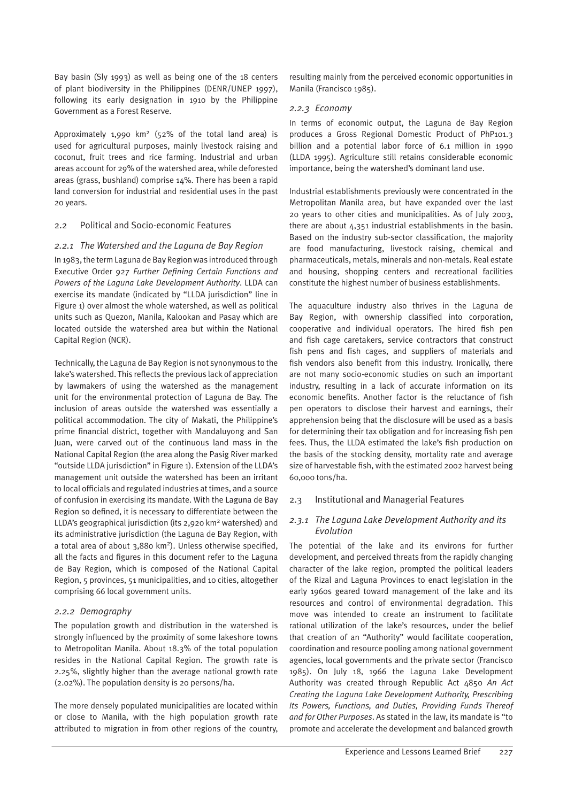Bay basin (Sly 1993) as well as being one of the 18 centers of plant biodiversity in the Philippines (DENR/UNEP 1997), following its early designation in 1910 by the Philippine Government as a Forest Reserve.

Approximately 1,990 km2 (52% of the total land area) is used for agricultural purposes, mainly livestock raising and coconut, fruit trees and rice farming. Industrial and urban areas account for 29% of the watershed area, while deforested areas (grass, bushland) comprise 14%. There has been a rapid land conversion for industrial and residential uses in the past 20 years.

#### 2.2 Political and Socio-economic Features

#### *2.2.1 The Watershed and the Laguna de Bay Region*

In 1983, the term Laguna de Bay Region was introduced through Executive Order 927 *Further Defining Certain Functions and Powers of the Laguna Lake Development Authority*. LLDA can exercise its mandate (indicated by "LLDA jurisdiction" line in Figure 1) over almost the whole watershed, as well as political units such as Quezon, Manila, Kalookan and Pasay which are located outside the watershed area but within the National Capital Region (NCR).

Technically, the Laguna de Bay Region is not synonymous to the lake's watershed. This reflects the previous lack of appreciation by lawmakers of using the watershed as the management unit for the environmental protection of Laguna de Bay. The inclusion of areas outside the watershed was essentially a political accommodation. The city of Makati, the Philippine's prime financial district, together with Mandaluyong and San Juan, were carved out of the continuous land mass in the National Capital Region (the area along the Pasig River marked "outside LLDA jurisdiction" in Figure 1). Extension of the LLDA's management unit outside the watershed has been an irritant to local officials and regulated industries at times, and a source of confusion in exercising its mandate. With the Laguna de Bay Region so defined, it is necessary to differentiate between the LLDA's geographical jurisdiction (its 2,920 km<sup>2</sup> watershed) and its administrative jurisdiction (the Laguna de Bay Region, with a total area of about 3,880 km2). Unless otherwise specified, all the facts and figures in this document refer to the Laguna de Bay Region, which is composed of the National Capital Region, 5 provinces, 51 municipalities, and 10 cities, altogether comprising 66 local government units.

#### *2.2.2 Demography*

The population growth and distribution in the watershed is strongly influenced by the proximity of some lakeshore towns to Metropolitan Manila. About 18.3% of the total population resides in the National Capital Region. The growth rate is 2.25%, slightly higher than the average national growth rate (2.02%). The population density is 20 persons/ha.

The more densely populated municipalities are located within or close to Manila, with the high population growth rate attributed to migration in from other regions of the country,

resulting mainly from the perceived economic opportunities in Manila (Francisco 1985).

#### *2.2.3 Economy*

In terms of economic output, the Laguna de Bay Region produces a Gross Regional Domestic Product of PhP101.3 billion and a potential labor force of 6.1 million in 1990 (LLDA 1995). Agriculture still retains considerable economic importance, being the watershed's dominant land use.

Industrial establishments previously were concentrated in the Metropolitan Manila area, but have expanded over the last 20 years to other cities and municipalities. As of July 2003, there are about 4,351 industrial establishments in the basin. Based on the industry sub-sector classification, the majority are food manufacturing, livestock raising, chemical and pharmaceuticals, metals, minerals and non-metals. Real estate and housing, shopping centers and recreational facilities constitute the highest number of business establishments.

The aquaculture industry also thrives in the Laguna de Bay Region, with ownership classified into corporation, cooperative and individual operators. The hired fish pen and fish cage caretakers, service contractors that construct fish pens and fish cages, and suppliers of materials and fish vendors also benefit from this industry. Ironically, there are not many socio-economic studies on such an important industry, resulting in a lack of accurate information on its economic benefits. Another factor is the reluctance of fish pen operators to disclose their harvest and earnings, their apprehension being that the disclosure will be used as a basis for determining their tax obligation and for increasing fish pen fees. Thus, the LLDA estimated the lake's fish production on the basis of the stocking density, mortality rate and average size of harvestable fish, with the estimated 2002 harvest being 60,000 tons/ha.

#### 2.3 Institutional and Managerial Features

#### *2.3.1 The Laguna Lake Development Authority and its Evolution*

The potential of the lake and its environs for further development, and perceived threats from the rapidly changing character of the lake region, prompted the political leaders of the Rizal and Laguna Provinces to enact legislation in the early 1960s geared toward management of the lake and its resources and control of environmental degradation. This move was intended to create an instrument to facilitate rational utilization of the lake's resources, under the belief that creation of an "Authority" would facilitate cooperation, coordination and resource pooling among national government agencies, local governments and the private sector (Francisco 1985). On July 18, 1966 the Laguna Lake Development Authority was created through Republic Act 4850 *An Act Creating the Laguna Lake Development Authority, Prescribing Its Powers, Functions, and Duties, Providing Funds Thereof and for Other Purposes*. As stated in the law, its mandate is "to promote and accelerate the development and balanced growth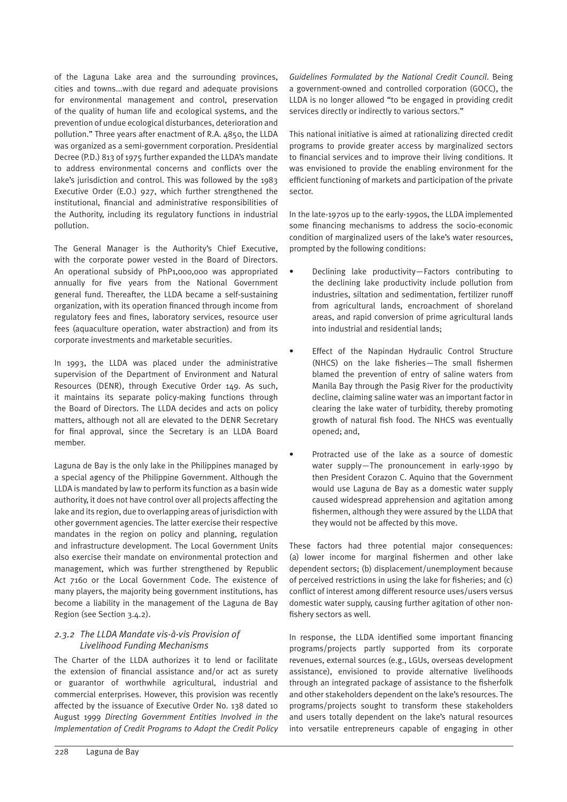of the Laguna Lake area and the surrounding provinces, cities and towns...with due regard and adequate provisions for environmental management and control, preservation of the quality of human life and ecological systems, and the prevention of undue ecological disturbances, deterioration and pollution." Three years after enactment of R.A. 4850, the LLDA was organized as a semi-government corporation. Presidential Decree (P.D.) 813 of 1975 further expanded the LLDA's mandate to address environmental concerns and conflicts over the lake's jurisdiction and control. This was followed by the 1983 Executive Order (E.O.) 927, which further strengthened the institutional, financial and administrative responsibilities of the Authority, including its regulatory functions in industrial pollution.

The General Manager is the Authority's Chief Executive, with the corporate power vested in the Board of Directors. An operational subsidy of PhP1,000,000 was appropriated annually for five years from the National Government general fund. Thereafter, the LLDA became a self-sustaining organization, with its operation financed through income from regulatory fees and fines, laboratory services, resource user fees (aquaculture operation, water abstraction) and from its corporate investments and marketable securities.

In 1993, the LLDA was placed under the administrative supervision of the Department of Environment and Natural Resources (DENR), through Executive Order 149. As such, it maintains its separate policy-making functions through the Board of Directors. The LLDA decides and acts on policy matters, although not all are elevated to the DENR Secretary for final approval, since the Secretary is an LLDA Board member.

Laguna de Bay is the only lake in the Philippines managed by a special agency of the Philippine Government. Although the LLDA is mandated by law to perform its function as a basin wide authority, it does not have control over all projects affecting the lake and its region, due to overlapping areas of jurisdiction with other government agencies. The latter exercise their respective mandates in the region on policy and planning, regulation and infrastructure development. The Local Government Units also exercise their mandate on environmental protection and management, which was further strengthened by Republic Act 7160 or the Local Government Code. The existence of many players, the majority being government institutions, has become a liability in the management of the Laguna de Bay Region (see Section 3.4.2).

#### *2.3.2 The LLDA Mandate vis-à-vis Provision of Livelihood Funding Mechanisms*

The Charter of the LLDA authorizes it to lend or facilitate the extension of financial assistance and/or act as surety or guarantor of worthwhile agricultural, industrial and commercial enterprises. However, this provision was recently affected by the issuance of Executive Order No. 138 dated 10 August 1999 *Directing Government Entities Involved in the Implementation of Credit Programs to Adopt the Credit Policy*  *Guidelines Formulated by the National Credit Council*. Being a government-owned and controlled corporation (GOCC), the LLDA is no longer allowed "to be engaged in providing credit services directly or indirectly to various sectors."

This national initiative is aimed at rationalizing directed credit programs to provide greater access by marginalized sectors to financial services and to improve their living conditions. It was envisioned to provide the enabling environment for the efficient functioning of markets and participation of the private sector.

In the late-1970s up to the early-1990s, the LLDA implemented some financing mechanisms to address the socio-economic condition of marginalized users of the lake's water resources, prompted by the following conditions:

- Declining lake productivity—Factors contributing to the declining lake productivity include pollution from industries, siltation and sedimentation, fertilizer runoff from agricultural lands, encroachment of shoreland areas, and rapid conversion of prime agricultural lands into industrial and residential lands;
- Effect of the Napindan Hydraulic Control Structure (NHCS) on the lake fisheries—The small fishermen blamed the prevention of entry of saline waters from Manila Bay through the Pasig River for the productivity decline, claiming saline water was an important factor in clearing the lake water of turbidity, thereby promoting growth of natural fish food. The NHCS was eventually opened; and,
- Protracted use of the lake as a source of domestic water supply—The pronouncement in early-1990 by then President Corazon C. Aquino that the Government would use Laguna de Bay as a domestic water supply caused widespread apprehension and agitation among fishermen, although they were assured by the LLDA that they would not be affected by this move.

These factors had three potential major consequences: (a) lower income for marginal fishermen and other lake dependent sectors; (b) displacement/unemployment because of perceived restrictions in using the lake for fisheries; and (c) conflict of interest among different resource uses/users versus domestic water supply, causing further agitation of other nonfishery sectors as well.

In response, the LLDA identified some important financing programs/projects partly supported from its corporate revenues, external sources (e.g., LGUs, overseas development assistance), envisioned to provide alternative livelihoods through an integrated package of assistance to the fisherfolk and other stakeholders dependent on the lake's resources. The programs/projects sought to transform these stakeholders and users totally dependent on the lake's natural resources into versatile entrepreneurs capable of engaging in other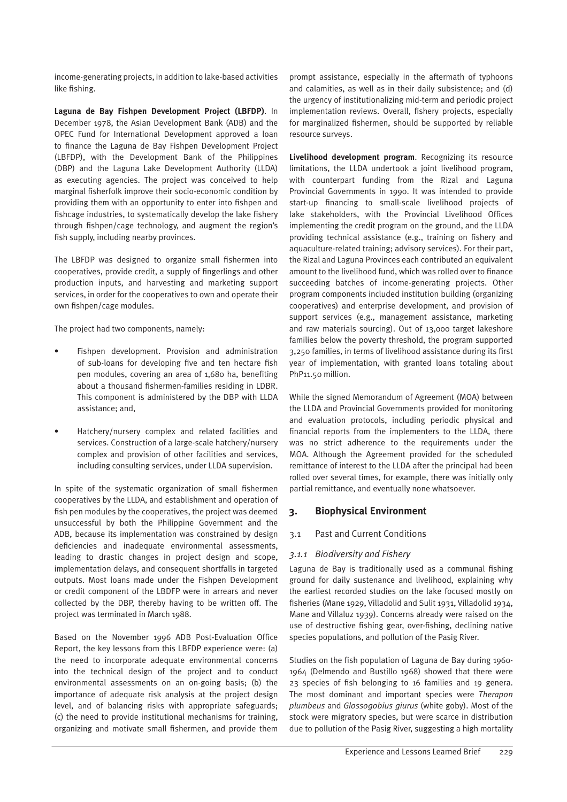income-generating projects, in addition to lake-based activities like fishing.

**Laguna de Bay Fishpen Development Project (LBFDP)**. In December 1978, the Asian Development Bank (ADB) and the OPEC Fund for International Development approved a loan to finance the Laguna de Bay Fishpen Development Project (LBFDP), with the Development Bank of the Philippines (DBP) and the Laguna Lake Development Authority (LLDA) as executing agencies. The project was conceived to help marginal fisherfolk improve their socio-economic condition by providing them with an opportunity to enter into fishpen and fishcage industries, to systematically develop the lake fishery through fishpen/cage technology, and augment the region's fish supply, including nearby provinces.

The LBFDP was designed to organize small fishermen into cooperatives, provide credit, a supply of fingerlings and other production inputs, and harvesting and marketing support services, in order for the cooperatives to own and operate their own fishpen/cage modules.

The project had two components, namely:

- Fishpen development. Provision and administration of sub-loans for developing five and ten hectare fish pen modules, covering an area of 1,680 ha, benefiting about a thousand fishermen-families residing in LDBR. This component is administered by the DBP with LLDA assistance; and,
- Hatchery/nursery complex and related facilities and services. Construction of a large-scale hatchery/nursery complex and provision of other facilities and services, including consulting services, under LLDA supervision.

In spite of the systematic organization of small fishermen cooperatives by the LLDA, and establishment and operation of fish pen modules by the cooperatives, the project was deemed unsuccessful by both the Philippine Government and the ADB, because its implementation was constrained by design deficiencies and inadequate environmental assessments, leading to drastic changes in project design and scope, implementation delays, and consequent shortfalls in targeted outputs. Most loans made under the Fishpen Development or credit component of the LBDFP were in arrears and never collected by the DBP, thereby having to be written off. The project was terminated in March 1988.

Based on the November 1996 ADB Post-Evaluation Office Report, the key lessons from this LBFDP experience were: (a) the need to incorporate adequate environmental concerns into the technical design of the project and to conduct environmental assessments on an on-going basis; (b) the importance of adequate risk analysis at the project design level, and of balancing risks with appropriate safeguards; (c) the need to provide institutional mechanisms for training, organizing and motivate small fishermen, and provide them prompt assistance, especially in the aftermath of typhoons and calamities, as well as in their daily subsistence; and (d) the urgency of institutionalizing mid-term and periodic project implementation reviews. Overall, fishery projects, especially for marginalized fishermen, should be supported by reliable resource surveys.

**Livelihood development program**. Recognizing its resource limitations, the LLDA undertook a joint livelihood program, with counterpart funding from the Rizal and Laguna Provincial Governments in 1990. It was intended to provide start-up financing to small-scale livelihood projects of lake stakeholders, with the Provincial Livelihood Offices implementing the credit program on the ground, and the LLDA providing technical assistance (e.g., training on fishery and aquaculture-related training; advisory services). For their part, the Rizal and Laguna Provinces each contributed an equivalent amount to the livelihood fund, which was rolled over to finance succeeding batches of income-generating projects. Other program components included institution building (organizing cooperatives) and enterprise development, and provision of support services (e.g., management assistance, marketing and raw materials sourcing). Out of 13,000 target lakeshore families below the poverty threshold, the program supported 3,250 families, in terms of livelihood assistance during its first year of implementation, with granted loans totaling about PhP11.50 million.

While the signed Memorandum of Agreement (MOA) between the LLDA and Provincial Governments provided for monitoring and evaluation protocols, including periodic physical and financial reports from the implementers to the LLDA, there was no strict adherence to the requirements under the MOA. Although the Agreement provided for the scheduled remittance of interest to the LLDA after the principal had been rolled over several times, for example, there was initially only partial remittance, and eventually none whatsoever.

#### **3. Biophysical Environment**

#### 3.1 Past and Current Conditions

#### *3.1.1 Biodiversity and Fishery*

Laguna de Bay is traditionally used as a communal fishing ground for daily sustenance and livelihood, explaining why the earliest recorded studies on the lake focused mostly on fisheries (Mane 1929, Villadolid and Sulit 1931, Villadolid 1934, Mane and Villaluz 1939). Concerns already were raised on the use of destructive fishing gear, over-fishing, declining native species populations, and pollution of the Pasig River.

Studies on the fish population of Laguna de Bay during 1960- 1964 (Delmendo and Bustillo 1968) showed that there were 23 species of fish belonging to 16 families and 19 genera. The most dominant and important species were *Therapon plumbeus* and *Glossogobius giurus* (white goby). Most of the stock were migratory species, but were scarce in distribution due to pollution of the Pasig River, suggesting a high mortality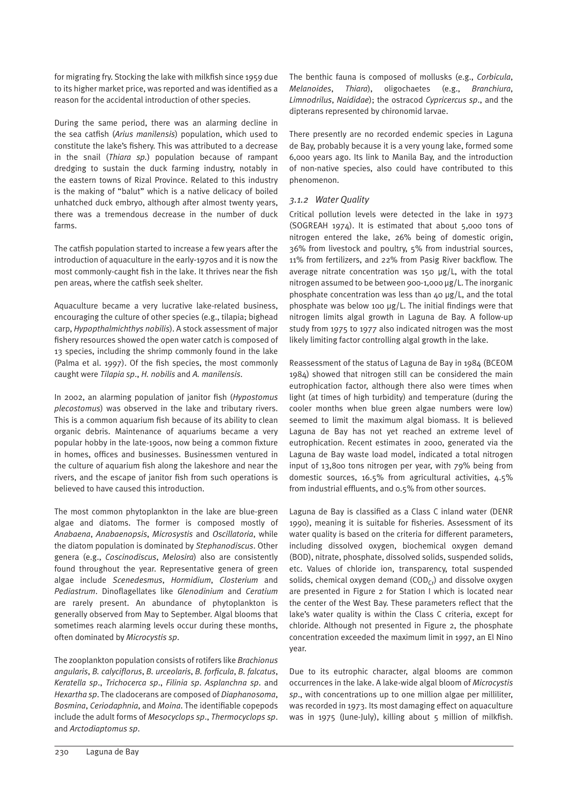for migrating fry. Stocking the lake with milkfish since 1959 due to its higher market price, was reported and was identified as a reason for the accidental introduction of other species.

During the same period, there was an alarming decline in the sea catfish (*Arius manilensis*) population, which used to constitute the lake's fishery. This was attributed to a decrease in the snail (*Thiara sp.*) population because of rampant dredging to sustain the duck farming industry, notably in the eastern towns of Rizal Province. Related to this industry is the making of "balut" which is a native delicacy of boiled unhatched duck embryo, although after almost twenty years, there was a tremendous decrease in the number of duck farms.

The catfish population started to increase a few years after the introduction of aquaculture in the early-1970s and it is now the most commonly-caught fish in the lake. It thrives near the fish pen areas, where the catfish seek shelter.

Aquaculture became a very lucrative lake-related business, encouraging the culture of other species (e.g., tilapia; bighead carp, *Hypopthalmichthys nobilis*). A stock assessment of major fishery resources showed the open water catch is composed of 13 species, including the shrimp commonly found in the lake (Palma et al. 1997). Of the fish species, the most commonly caught were *Tilapia sp*., *H. nobilis* and *A. manilensis*.

In 2002, an alarming population of janitor fish (*Hypostomus plecostomus*) was observed in the lake and tributary rivers. This is a common aquarium fish because of its ability to clean organic debris. Maintenance of aquariums became a very popular hobby in the late-1900s, now being a common fixture in homes, offices and businesses. Businessmen ventured in the culture of aquarium fish along the lakeshore and near the rivers, and the escape of janitor fish from such operations is believed to have caused this introduction.

The most common phytoplankton in the lake are blue-green algae and diatoms. The former is composed mostly of *Anabaena*, *Anabaenopsis*, *Microsystis* and *Oscillatoria*, while the diatom population is dominated by *Stephanodiscus*. Other genera (e.g., *Coscinodiscus*, *Melosira*) also are consistently found throughout the year. Representative genera of green algae include *Scenedesmus*, *Hormidium*, *Closterium* and *Pediastrum*. Dinoflagellates like *Glenodinium* and *Ceratium* are rarely present. An abundance of phytoplankton is generally observed from May to September. Algal blooms that sometimes reach alarming levels occur during these months, often dominated by *Microcystis sp*.

The zooplankton population consists of rotifers like *Brachionus angularis*, *B. calyciflorus*, *B. urceolaris*, *B. forficula*, *B. falcatus*, *Keratella sp*., *Trichocerca sp*., *Filinia sp*. *Asplanchna sp*. and *Hexartha sp*. The cladocerans are composed of *Diaphanosoma*, *Bosmina*, *Ceriodaphnia*, and *Moina*. The identifiable copepods include the adult forms of *Mesocyclops sp*., *Thermocyclops sp*. and *Arctodiaptomus sp*.

The benthic fauna is composed of mollusks (e.g., *Corbicula*, *Melanoides*, *Thiara*), oligochaetes (e.g., *Branchiura*, *Limnodrilus*, *Naididae*); the ostracod *Cypricercus sp*., and the dipterans represented by chironomid larvae.

There presently are no recorded endemic species in Laguna de Bay, probably because it is a very young lake, formed some 6,000 years ago. Its link to Manila Bay, and the introduction of non-native species, also could have contributed to this phenomenon.

#### *3.1.2 Water Quality*

Critical pollution levels were detected in the lake in 1973 (SOGREAH 1974). It is estimated that about 5,000 tons of nitrogen entered the lake, 26% being of domestic origin, 36% from livestock and poultry, 5% from industrial sources, 11% from fertilizers, and 22% from Pasig River backflow. The average nitrate concentration was 150  $\mu$ g/L, with the total nitrogen assumed to be between 900-1,000 µg/L. The inorganic phosphate concentration was less than 40 µg/L, and the total phosphate was below 100 µg/L. The initial findings were that nitrogen limits algal growth in Laguna de Bay. A follow-up study from 1975 to 1977 also indicated nitrogen was the most likely limiting factor controlling algal growth in the lake.

Reassessment of the status of Laguna de Bay in 1984 (BCEOM 1984) showed that nitrogen still can be considered the main eutrophication factor, although there also were times when light (at times of high turbidity) and temperature (during the cooler months when blue green algae numbers were low) seemed to limit the maximum algal biomass. It is believed Laguna de Bay has not yet reached an extreme level of eutrophication. Recent estimates in 2000, generated via the Laguna de Bay waste load model, indicated a total nitrogen input of 13,800 tons nitrogen per year, with 79% being from domestic sources, 16.5% from agricultural activities, 4.5% from industrial effluents, and 0.5% from other sources.

Laguna de Bay is classified as a Class C inland water (DENR 1990), meaning it is suitable for fisheries. Assessment of its water quality is based on the criteria for different parameters, including dissolved oxygen, biochemical oxygen demand (BOD), nitrate, phosphate, dissolved solids, suspended solids, etc. Values of chloride ion, transparency, total suspended solids, chemical oxygen demand  $(COD<sub>c</sub>)$  and dissolve oxygen are presented in Figure 2 for Station I which is located near the center of the West Bay. These parameters reflect that the lake's water quality is within the Class C criteria, except for chloride. Although not presented in Figure 2, the phosphate concentration exceeded the maximum limit in 1997, an El Nino year.

Due to its eutrophic character, algal blooms are common occurrences in the lake. A lake-wide algal bloom of *Microcystis sp*., with concentrations up to one million algae per milliliter, was recorded in 1973. Its most damaging effect on aquaculture was in 1975 (June-July), killing about 5 million of milkfish.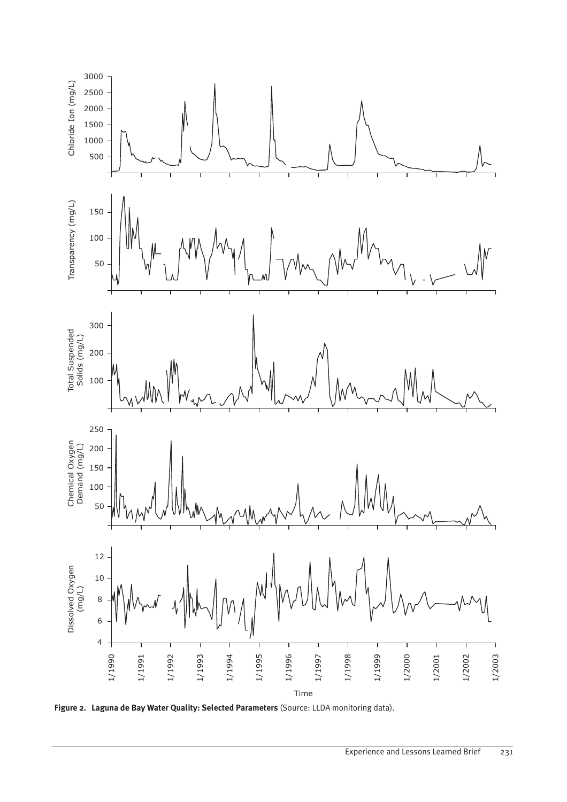

**Figure 2. Laguna de Bay Water Quality: Selected Parameters** (Source: LLDA monitoring data).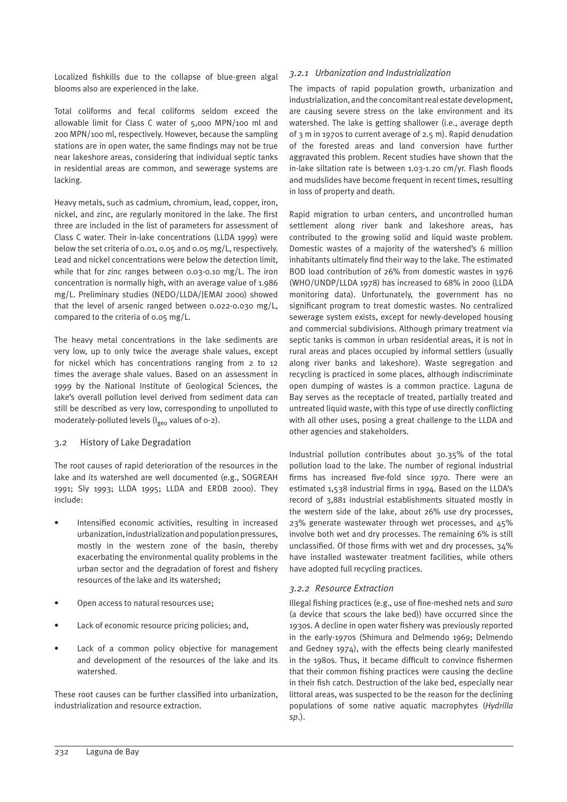Localized fishkills due to the collapse of blue-green algal blooms also are experienced in the lake.

Total coliforms and fecal coliforms seldom exceed the allowable limit for Class C water of 5,000 MPN/100 ml and 200 MPN/100 ml, respectively. However, because the sampling stations are in open water, the same findings may not be true near lakeshore areas, considering that individual septic tanks in residential areas are common, and sewerage systems are lacking.

Heavy metals, such as cadmium, chromium, lead, copper, iron, nickel, and zinc, are regularly monitored in the lake. The first three are included in the list of parameters for assessment of Class C water. Their in-lake concentrations (LLDA 1999) were below the set criteria of 0.01, 0.05 and 0.05 mg/L, respectively. Lead and nickel concentrations were below the detection limit, while that for zinc ranges between 0.03-0.10 mg/L. The iron concentration is normally high, with an average value of 1.986 mg/L. Preliminary studies (NEDO/LLDA/JEMAI 2000) showed that the level of arsenic ranged between 0.022-0.030 mg/L, compared to the criteria of 0.05 mg/L.

The heavy metal concentrations in the lake sediments are very low, up to only twice the average shale values, except for nickel which has concentrations ranging from 2 to 12 times the average shale values. Based on an assessment in 1999 by the National Institute of Geological Sciences, the lake's overall pollution level derived from sediment data can still be described as very low, corresponding to unpolluted to moderately-polluted levels ( $I_{\text{geo}}$  values of o-2).

#### 3.2 History of Lake Degradation

The root causes of rapid deterioration of the resources in the lake and its watershed are well documented (e.g., SOGREAH 1991; Sly 1993; LLDA 1995; LLDA and ERDB 2000). They include:

- Intensified economic activities, resulting in increased urbanization, industrialization and population pressures, mostly in the western zone of the basin, thereby exacerbating the environmental quality problems in the urban sector and the degradation of forest and fishery resources of the lake and its watershed;
- Open access to natural resources use;
- Lack of economic resource pricing policies; and,
- Lack of a common policy objective for management and development of the resources of the lake and its watershed.

These root causes can be further classified into urbanization, industrialization and resource extraction.

#### *3.2.1 Urbanization and Industrialization*

The impacts of rapid population growth, urbanization and industrialization, and the concomitant real estate development, are causing severe stress on the lake environment and its watershed. The lake is getting shallower (i.e., average depth of 3 m in 1970s to current average of 2.5 m). Rapid denudation of the forested areas and land conversion have further aggravated this problem. Recent studies have shown that the in-lake siltation rate is between 1.03-1.20 cm/yr. Flash floods and mudslides have become frequent in recent times, resulting in loss of property and death.

Rapid migration to urban centers, and uncontrolled human settlement along river bank and lakeshore areas, has contributed to the growing solid and liquid waste problem. Domestic wastes of a majority of the watershed's 6 million inhabitants ultimately find their way to the lake. The estimated BOD load contribution of 26% from domestic wastes in 1976 (WHO/UNDP/LLDA 1978) has increased to 68% in 2000 (LLDA monitoring data). Unfortunately, the government has no significant program to treat domestic wastes. No centralized sewerage system exists, except for newly-developed housing and commercial subdivisions. Although primary treatment via septic tanks is common in urban residential areas, it is not in rural areas and places occupied by informal settlers (usually along river banks and lakeshore). Waste segregation and recycling is practiced in some places, although indiscriminate open dumping of wastes is a common practice. Laguna de Bay serves as the receptacle of treated, partially treated and untreated liquid waste, with this type of use directly conflicting with all other uses, posing a great challenge to the LLDA and other agencies and stakeholders.

Industrial pollution contributes about 30.35% of the total pollution load to the lake. The number of regional industrial firms has increased five-fold since 1970. There were an estimated 1,538 industrial firms in 1994. Based on the LLDA's record of 3,881 industrial establishments situated mostly in the western side of the lake, about 26% use dry processes, 23% generate wastewater through wet processes, and 45% involve both wet and dry processes. The remaining 6% is still unclassified. Of those firms with wet and dry processes, 34% have installed wastewater treatment facilities, while others have adopted full recycling practices.

#### *3.2.2 Resource Extraction*

Illegal fishing practices (e.g., use of fine-meshed nets and *suro* (a device that scours the lake bed)) have occurred since the 1930s. A decline in open water fishery was previously reported in the early-1970s (Shimura and Delmendo 1969; Delmendo and Gedney 1974), with the effects being clearly manifested in the 1980s. Thus, it became difficult to convince fishermen that their common fishing practices were causing the decline in their fish catch. Destruction of the lake bed, especially near littoral areas, was suspected to be the reason for the declining populations of some native aquatic macrophytes (*Hydrilla sp*.).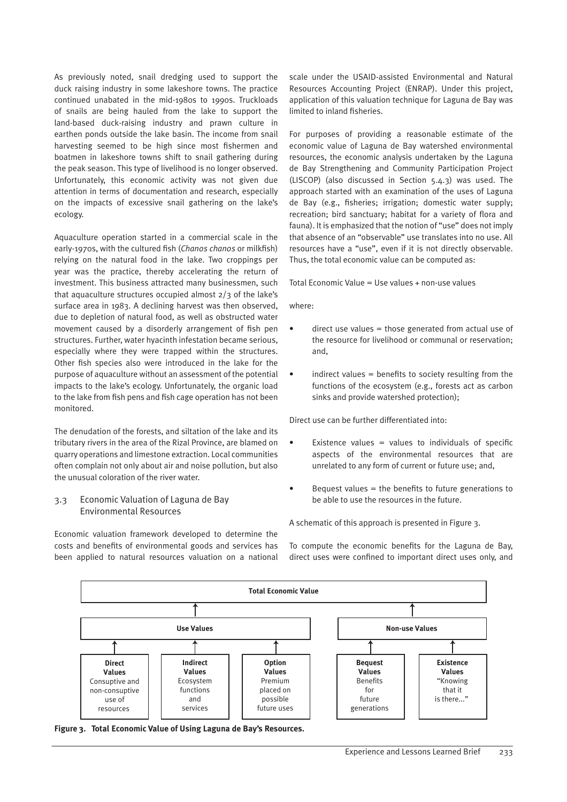As previously noted, snail dredging used to support the duck raising industry in some lakeshore towns. The practice continued unabated in the mid-1980s to 1990s. Truckloads of snails are being hauled from the lake to support the land-based duck-raising industry and prawn culture in earthen ponds outside the lake basin. The income from snail harvesting seemed to be high since most fishermen and boatmen in lakeshore towns shift to snail gathering during the peak season. This type of livelihood is no longer observed. Unfortunately, this economic activity was not given due attention in terms of documentation and research, especially on the impacts of excessive snail gathering on the lake's ecology.

Aquaculture operation started in a commercial scale in the early-1970s, with the cultured fish (*Chanos chanos* or milkfish) relying on the natural food in the lake. Two croppings per year was the practice, thereby accelerating the return of investment. This business attracted many businessmen, such that aquaculture structures occupied almost 2/3 of the lake's surface area in 1983. A declining harvest was then observed, due to depletion of natural food, as well as obstructed water movement caused by a disorderly arrangement of fish pen structures. Further, water hyacinth infestation became serious, especially where they were trapped within the structures. Other fish species also were introduced in the lake for the purpose of aquaculture without an assessment of the potential impacts to the lake's ecology. Unfortunately, the organic load to the lake from fish pens and fish cage operation has not been monitored.

The denudation of the forests, and siltation of the lake and its tributary rivers in the area of the Rizal Province, are blamed on quarry operations and limestone extraction. Local communities often complain not only about air and noise pollution, but also the unusual coloration of the river water.

#### 3.3 Economic Valuation of Laguna de Bay Environmental Resources

Economic valuation framework developed to determine the costs and benefits of environmental goods and services has been applied to natural resources valuation on a national scale under the USAID-assisted Environmental and Natural Resources Accounting Project (ENRAP). Under this project, application of this valuation technique for Laguna de Bay was limited to inland fisheries.

For purposes of providing a reasonable estimate of the economic value of Laguna de Bay watershed environmental resources, the economic analysis undertaken by the Laguna de Bay Strengthening and Community Participation Project (LISCOP) (also discussed in Section 5.4.3) was used. The approach started with an examination of the uses of Laguna de Bay (e.g., fisheries; irrigation; domestic water supply; recreation; bird sanctuary; habitat for a variety of flora and fauna). It is emphasized that the notion of "use" does not imply that absence of an "observable" use translates into no use. All resources have a "use", even if it is not directly observable. Thus, the total economic value can be computed as:

Total Economic Value = Use values + non-use values

where:

- direct use values = those generated from actual use of the resource for livelihood or communal or reservation; and,
- $indirect$  values  $=$  benefits to society resulting from the functions of the ecosystem (e.g., forests act as carbon sinks and provide watershed protection);

Direct use can be further differentiated into:

- Existence values = values to individuals of specific aspects of the environmental resources that are unrelated to any form of current or future use; and,
- Bequest values  $=$  the benefits to future generations to be able to use the resources in the future.

A schematic of this approach is presented in Figure 3.

To compute the economic benefits for the Laguna de Bay, direct uses were confined to important direct uses only, and



**Figure 3. Total Economic Value of Using Laguna de Bay's Resources.**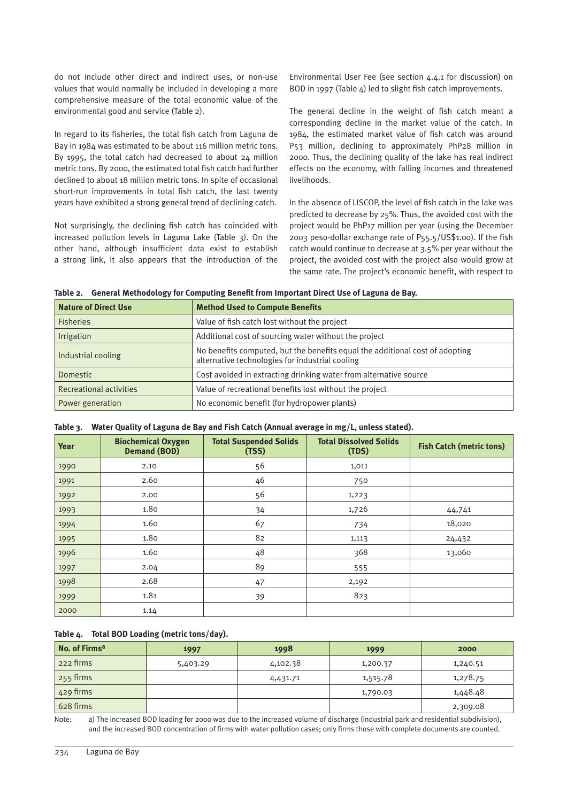do not include other direct and indirect uses, or non-use values that would normally be included in developing a more comprehensive measure of the total economic value of the environmental good and service (Table 2).

In regard to its fisheries, the total fish catch from Laguna de Bay in 1984 was estimated to be about 116 million metric tons. By 1995, the total catch had decreased to about 24 million metric tons. By 2000, the estimated total fish catch had further declined to about 18 million metric tons. In spite of occasional short-run improvements in total fish catch, the last twenty years have exhibited a strong general trend of declining catch.

Not surprisingly, the declining fish catch has coincided with increased pollution levels in Laguna Lake (Table 3). On the other hand, although insufficient data exist to establish a strong link, it also appears that the introduction of the Environmental User Fee (see section 4.4.1 for discussion) on BOD in 1997 (Table 4) led to slight fish catch improvements.

The general decline in the weight of fish catch meant a corresponding decline in the market value of the catch. In 1984, the estimated market value of fish catch was around P53 million, declining to approximately PhP28 million in 2000. Thus, the declining quality of the lake has real indirect effects on the economy, with falling incomes and threatened livelihoods.

In the absence of LISCOP, the level of fish catch in the lake was predicted to decrease by 25%. Thus, the avoided cost with the project would be PhP17 million per year (using the December 2003 peso-dollar exchange rate of P55.5/US\$1.00). If the fish catch would continue to decrease at 3.5% per year without the project, the avoided cost with the project also would grow at the same rate. The project's economic benefit, with respect to

**Table 2. General Methodology for Computing Benefit from Important Direct Use of Laguna de Bay.**

| <b>Nature of Direct Use</b>    | <b>Method Used to Compute Benefits</b>                                                                                          |
|--------------------------------|---------------------------------------------------------------------------------------------------------------------------------|
| <b>Fisheries</b>               | Value of fish catch lost without the project                                                                                    |
| <b>Irrigation</b>              | Additional cost of sourcing water without the project                                                                           |
| Industrial cooling             | No benefits computed, but the benefits equal the additional cost of adopting<br>alternative technologies for industrial cooling |
| <b>Domestic</b>                | Cost avoided in extracting drinking water from alternative source                                                               |
| <b>Recreational activities</b> | Value of recreational benefits lost without the project                                                                         |
| Power generation               | No economic benefit (for hydropower plants)                                                                                     |

| Table 3. Water Quality of Laguna de Bay and Fish Catch (Annual average in mg/L, unless stated). |  |  |  |  |  |
|-------------------------------------------------------------------------------------------------|--|--|--|--|--|
|                                                                                                 |  |  |  |  |  |

| <b>Year</b> | <b>Biochemical Oxygen</b><br><b>Demand (BOD)</b> | <b>Total Suspended Solids</b><br>(TSS) | <b>Total Dissolved Solids</b><br>(TDS) | <b>Fish Catch (metric tons)</b> |
|-------------|--------------------------------------------------|----------------------------------------|----------------------------------------|---------------------------------|
| 1990        | 2.10                                             | 56                                     | 1,011                                  |                                 |
| 1991        | 2.60                                             | 46                                     | 750                                    |                                 |
| 1992        | 2.00                                             | 56                                     | 1,223                                  |                                 |
| 1993        | 1.80                                             | 34                                     | 1,726                                  | 44,741                          |
| 1994        | 1.60                                             | 67                                     | 734                                    | 18,020                          |
| 1995        | 1.80                                             | 82                                     | 1,113                                  | 24,432                          |
| 1996        | 1.60                                             | 48                                     | 368                                    | 13,060                          |
| 1997        | 2.04                                             | 89                                     | 555                                    |                                 |
| 1998        | 2.68                                             | 47                                     | 2,192                                  |                                 |
| 1999        | 1.81                                             | 39                                     | 823                                    |                                 |
| 2000        | 1.14                                             |                                        |                                        |                                 |

#### **Table 4. Total BOD Loading (metric tons/day).**

| No. of Firms <sup>a</sup> | 1997     | 1998     | 1999     | 2000     |
|---------------------------|----------|----------|----------|----------|
| 222 firms                 | 5,403.29 | 4,102.38 | 1,200.37 | 1,240.51 |
| 255 firms                 |          | 4,431.71 | 1,515.78 | 1,278.75 |
| 429 firms                 |          |          | 1,790.03 | 1,448.48 |
| 628 firms                 |          |          |          | 2,309.08 |

Note: a) The increased BOD loading for 2000 was due to the increased volume of discharge (industrial park and residential subdivision), and the increased BOD concentration of firms with water pollution cases; only firms those with complete documents are counted.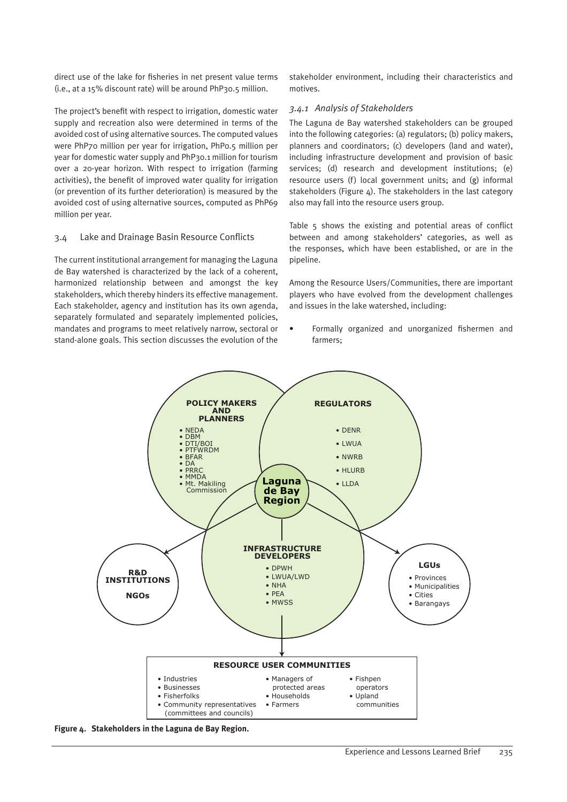direct use of the lake for fisheries in net present value terms (i.e., at a 15% discount rate) will be around PhP30.5 million.

The project's benefit with respect to irrigation, domestic water supply and recreation also were determined in terms of the avoided cost of using alternative sources. The computed values were PhP70 million per year for irrigation, PhP0.5 million per year for domestic water supply and PhP30.1 million for tourism over a 20-year horizon. With respect to irrigation (farming activities), the benefit of improved water quality for irrigation (or prevention of its further deterioration) is measured by the avoided cost of using alternative sources, computed as PhP69 million per year.

#### 3.4 Lake and Drainage Basin Resource Conflicts

The current institutional arrangement for managing the Laguna de Bay watershed is characterized by the lack of a coherent, harmonized relationship between and amongst the key stakeholders, which thereby hinders its effective management. Each stakeholder, agency and institution has its own agenda, separately formulated and separately implemented policies, mandates and programs to meet relatively narrow, sectoral or stand-alone goals. This section discusses the evolution of the stakeholder environment, including their characteristics and motives.

#### *3.4.1 Analysis of Stakeholders*

The Laguna de Bay watershed stakeholders can be grouped into the following categories: (a) regulators; (b) policy makers, planners and coordinators; (c) developers (land and water), including infrastructure development and provision of basic services; (d) research and development institutions; (e) resource users (f) local government units; and (g) informal stakeholders (Figure  $4$ ). The stakeholders in the last category also may fall into the resource users group.

Table 5 shows the existing and potential areas of conflict between and among stakeholders' categories, as well as the responses, which have been established, or are in the pipeline.

Among the Resource Users/Communities, there are important players who have evolved from the development challenges and issues in the lake watershed, including:

• Formally organized and unorganized fishermen and farmers;



**Figure 4. Stakeholders in the Laguna de Bay Region.**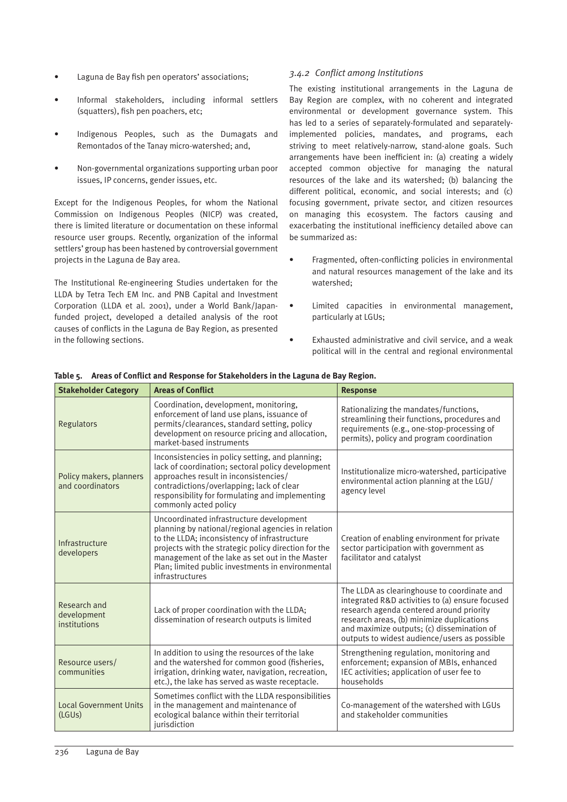- Laguna de Bay fish pen operators' associations;
- Informal stakeholders, including informal settlers (squatters), fish pen poachers, etc;
- Indigenous Peoples, such as the Dumagats and Remontados of the Tanay micro-watershed; and,
- Non-governmental organizations supporting urban poor issues, IP concerns, gender issues, etc.

Except for the Indigenous Peoples, for whom the National Commission on Indigenous Peoples (NICP) was created, there is limited literature or documentation on these informal resource user groups. Recently, organization of the informal settlers' group has been hastened by controversial government projects in the Laguna de Bay area.

The Institutional Re-engineering Studies undertaken for the LLDA by Tetra Tech EM Inc. and PNB Capital and Investment Corporation (LLDA et al. 2001), under a World Bank/Japanfunded project, developed a detailed analysis of the root causes of conflicts in the Laguna de Bay Region, as presented in the following sections.

#### *3.4.2 Conflict among Institutions*

The existing institutional arrangements in the Laguna de Bay Region are complex, with no coherent and integrated environmental or development governance system. This has led to a series of separately-formulated and separatelyimplemented policies, mandates, and programs, each striving to meet relatively-narrow, stand-alone goals. Such arrangements have been inefficient in: (a) creating a widely accepted common objective for managing the natural resources of the lake and its watershed; (b) balancing the different political, economic, and social interests; and (c) focusing government, private sector, and citizen resources on managing this ecosystem. The factors causing and exacerbating the institutional inefficiency detailed above can be summarized as:

- Fragmented, often-conflicting policies in environmental and natural resources management of the lake and its watershed;
- Limited capacities in environmental management, particularly at LGUs;
- Exhausted administrative and civil service, and a weak political will in the central and regional environmental

| <b>Stakeholder Category</b>                 | <b>Areas of Conflict</b>                                                                                                                                                                                                                                                                                                          | <b>Response</b>                                                                                                                                                                                                                                                                       |
|---------------------------------------------|-----------------------------------------------------------------------------------------------------------------------------------------------------------------------------------------------------------------------------------------------------------------------------------------------------------------------------------|---------------------------------------------------------------------------------------------------------------------------------------------------------------------------------------------------------------------------------------------------------------------------------------|
| Regulators                                  | Coordination, development, monitoring,<br>enforcement of land use plans, issuance of<br>permits/clearances, standard setting, policy<br>development on resource pricing and allocation,<br>market-based instruments                                                                                                               | Rationalizing the mandates/functions,<br>streamlining their functions, procedures and<br>requirements (e.g., one-stop-processing of<br>permits), policy and program coordination                                                                                                      |
| Policy makers, planners<br>and coordinators | Inconsistencies in policy setting, and planning;<br>lack of coordination; sectoral policy development<br>approaches result in inconsistencies/<br>contradictions/overlapping; lack of clear<br>responsibility for formulating and implementing<br>commonly acted policy                                                           | Institutionalize micro-watershed, participative<br>environmental action planning at the LGU/<br>agency level                                                                                                                                                                          |
| Infrastructure<br>developers                | Uncoordinated infrastructure development<br>planning by national/regional agencies in relation<br>to the LLDA; inconsistency of infrastructure<br>projects with the strategic policy direction for the<br>management of the lake as set out in the Master<br>Plan; limited public investments in environmental<br>infrastructures | Creation of enabling environment for private<br>sector participation with government as<br>facilitator and catalyst                                                                                                                                                                   |
| Research and<br>development<br>institutions | Lack of proper coordination with the LLDA;<br>dissemination of research outputs is limited                                                                                                                                                                                                                                        | The LLDA as clearinghouse to coordinate and<br>integrated R&D activities to (a) ensure focused<br>research agenda centered around priority<br>research areas, (b) minimize duplications<br>and maximize outputs; (c) dissemination of<br>outputs to widest audience/users as possible |
| Resource users/<br>communities              | In addition to using the resources of the lake<br>and the watershed for common good (fisheries,<br>irrigation, drinking water, navigation, recreation,<br>etc.), the lake has served as waste receptacle.                                                                                                                         | Strengthening regulation, monitoring and<br>enforcement; expansion of MBIs, enhanced<br>IEC activities; application of user fee to<br>households                                                                                                                                      |
| <b>Local Government Units</b><br>(LGUs)     | Sometimes conflict with the LLDA responsibilities<br>in the management and maintenance of<br>ecological balance within their territorial<br>jurisdiction                                                                                                                                                                          | Co-management of the watershed with LGUs<br>and stakeholder communities                                                                                                                                                                                                               |

**Table 5. Areas of Conflict and Response for Stakeholders in the Laguna de Bay Region.**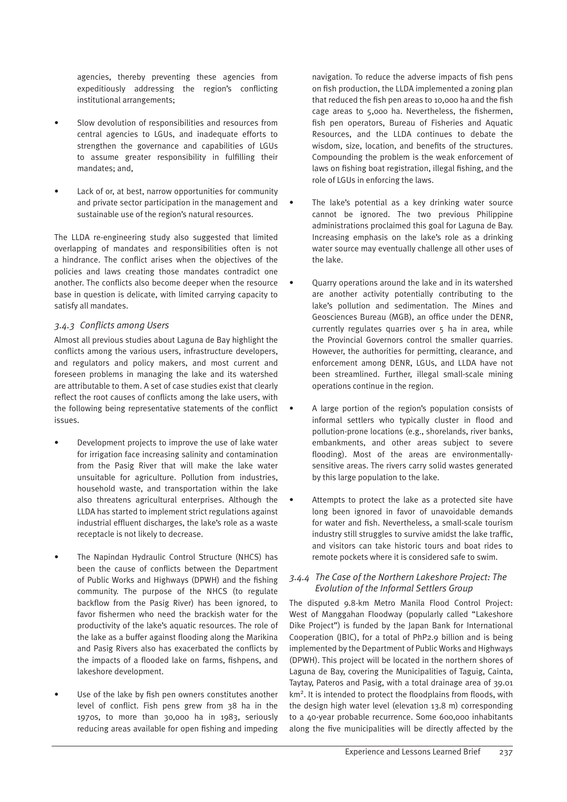agencies, thereby preventing these agencies from expeditiously addressing the region's conflicting institutional arrangements;

- Slow devolution of responsibilities and resources from central agencies to LGUs, and inadequate efforts to strengthen the governance and capabilities of LGUs to assume greater responsibility in fulfilling their mandates; and,
- Lack of or, at best, narrow opportunities for community and private sector participation in the management and sustainable use of the region's natural resources.

The LLDA re-engineering study also suggested that limited overlapping of mandates and responsibilities often is not a hindrance. The conflict arises when the objectives of the policies and laws creating those mandates contradict one another. The conflicts also become deeper when the resource base in question is delicate, with limited carrying capacity to satisfy all mandates.

#### *3.4.3 Conflicts among Users*

Almost all previous studies about Laguna de Bay highlight the conflicts among the various users, infrastructure developers, and regulators and policy makers, and most current and foreseen problems in managing the lake and its watershed are attributable to them. A set of case studies exist that clearly reflect the root causes of conflicts among the lake users, with the following being representative statements of the conflict issues.

- Development projects to improve the use of lake water for irrigation face increasing salinity and contamination from the Pasig River that will make the lake water unsuitable for agriculture. Pollution from industries, household waste, and transportation within the lake also threatens agricultural enterprises. Although the LLDA has started to implement strict regulations against industrial effluent discharges, the lake's role as a waste receptacle is not likely to decrease.
- The Napindan Hydraulic Control Structure (NHCS) has been the cause of conflicts between the Department of Public Works and Highways (DPWH) and the fishing community. The purpose of the NHCS (to regulate backflow from the Pasig River) has been ignored, to favor fishermen who need the brackish water for the productivity of the lake's aquatic resources. The role of the lake as a buffer against flooding along the Marikina and Pasig Rivers also has exacerbated the conflicts by the impacts of a flooded lake on farms, fishpens, and lakeshore development.
- Use of the lake by fish pen owners constitutes another level of conflict. Fish pens grew from 38 ha in the 1970s, to more than 30,000 ha in 1983, seriously reducing areas available for open fishing and impeding

navigation. To reduce the adverse impacts of fish pens on fish production, the LLDA implemented a zoning plan that reduced the fish pen areas to 10,000 ha and the fish cage areas to 5,000 ha. Nevertheless, the fishermen, fish pen operators, Bureau of Fisheries and Aquatic Resources, and the LLDA continues to debate the wisdom, size, location, and benefits of the structures. Compounding the problem is the weak enforcement of laws on fishing boat registration, illegal fishing, and the role of LGUs in enforcing the laws.

- The lake's potential as a key drinking water source cannot be ignored. The two previous Philippine administrations proclaimed this goal for Laguna de Bay. Increasing emphasis on the lake's role as a drinking water source may eventually challenge all other uses of the lake.
- Quarry operations around the lake and in its watershed are another activity potentially contributing to the lake's pollution and sedimentation. The Mines and Geosciences Bureau (MGB), an office under the DENR, currently regulates quarries over 5 ha in area, while the Provincial Governors control the smaller quarries. However, the authorities for permitting, clearance, and enforcement among DENR, LGUs, and LLDA have not been streamlined. Further, illegal small-scale mining operations continue in the region.
- A large portion of the region's population consists of informal settlers who typically cluster in flood and pollution-prone locations (e.g., shorelands, river banks, embankments, and other areas subject to severe flooding). Most of the areas are environmentallysensitive areas. The rivers carry solid wastes generated by this large population to the lake.
- Attempts to protect the lake as a protected site have long been ignored in favor of unavoidable demands for water and fish. Nevertheless, a small-scale tourism industry still struggles to survive amidst the lake traffic, and visitors can take historic tours and boat rides to remote pockets where it is considered safe to swim.

#### *3.4.4 The Case of the Northern Lakeshore Project: The Evolution of the Informal Settlers Group*

The disputed 9.8-km Metro Manila Flood Control Project: West of Manggahan Floodway (popularly called "Lakeshore Dike Project") is funded by the Japan Bank for International Cooperation (JBIC), for a total of PhP2.9 billion and is being implemented by the Department of Public Works and Highways (DPWH). This project will be located in the northern shores of Laguna de Bay, covering the Municipalities of Taguig, Cainta, Taytay, Pateros and Pasig, with a total drainage area of 39.01 km2. It is intended to protect the floodplains from floods, with the design high water level (elevation 13.8 m) corresponding to a 40-year probable recurrence. Some 600,000 inhabitants along the five municipalities will be directly affected by the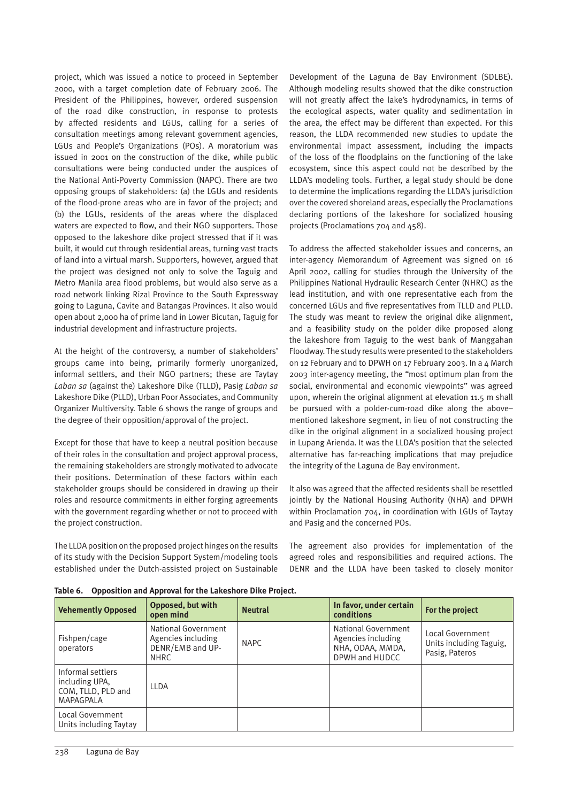project, which was issued a notice to proceed in September 2000, with a target completion date of February 2006. The President of the Philippines, however, ordered suspension of the road dike construction, in response to protests by affected residents and LGUs, calling for a series of consultation meetings among relevant government agencies, LGUs and People's Organizations (POs). A moratorium was issued in 2001 on the construction of the dike, while public consultations were being conducted under the auspices of the National Anti-Poverty Commission (NAPC). There are two opposing groups of stakeholders: (a) the LGUs and residents of the flood-prone areas who are in favor of the project; and (b) the LGUs, residents of the areas where the displaced waters are expected to flow, and their NGO supporters. Those opposed to the lakeshore dike project stressed that if it was built, it would cut through residential areas, turning vast tracts of land into a virtual marsh. Supporters, however, argued that the project was designed not only to solve the Taguig and Metro Manila area flood problems, but would also serve as a road network linking Rizal Province to the South Expressway going to Laguna, Cavite and Batangas Provinces. It also would open about 2,000 ha of prime land in Lower Bicutan, Taguig for industrial development and infrastructure projects.

At the height of the controversy, a number of stakeholders' groups came into being, primarily formerly unorganized, informal settlers, and their NGO partners; these are Taytay *Laban sa* (against the) Lakeshore Dike (TLLD), Pasig *Laban sa* Lakeshore Dike (PLLD), Urban Poor Associates, and Community Organizer Multiversity. Table 6 shows the range of groups and the degree of their opposition/approval of the project.

Except for those that have to keep a neutral position because of their roles in the consultation and project approval process, the remaining stakeholders are strongly motivated to advocate their positions. Determination of these factors within each stakeholder groups should be considered in drawing up their roles and resource commitments in either forging agreements with the government regarding whether or not to proceed with the project construction.

The LLDA position on the proposed project hinges on the results of its study with the Decision Support System/modeling tools established under the Dutch-assisted project on Sustainable Development of the Laguna de Bay Environment (SDLBE). Although modeling results showed that the dike construction will not greatly affect the lake's hydrodynamics, in terms of the ecological aspects, water quality and sedimentation in the area, the effect may be different than expected. For this reason, the LLDA recommended new studies to update the environmental impact assessment, including the impacts of the loss of the floodplains on the functioning of the lake ecosystem, since this aspect could not be described by the LLDA's modeling tools. Further, a legal study should be done to determine the implications regarding the LLDA's jurisdiction over the covered shoreland areas, especially the Proclamations declaring portions of the lakeshore for socialized housing projects (Proclamations 704 and 458).

To address the affected stakeholder issues and concerns, an inter-agency Memorandum of Agreement was signed on 16 April 2002, calling for studies through the University of the Philippines National Hydraulic Research Center (NHRC) as the lead institution, and with one representative each from the concerned LGUs and five representatives from TLLD and PLLD. The study was meant to review the original dike alignment, and a feasibility study on the polder dike proposed along the lakeshore from Taguig to the west bank of Manggahan Floodway. The study results were presented to the stakeholders on 12 February and to DPWH on 17 February 2003. In a 4 March 2003 inter-agency meeting, the "most optimum plan from the social, environmental and economic viewpoints" was agreed upon, wherein the original alignment at elevation 11.5 m shall be pursued with a polder-cum-road dike along the above– mentioned lakeshore segment, in lieu of not constructing the dike in the original alignment in a socialized housing project in Lupang Arienda. It was the LLDA's position that the selected alternative has far-reaching implications that may prejudice the integrity of the Laguna de Bay environment.

It also was agreed that the affected residents shall be resettled jointly by the National Housing Authority (NHA) and DPWH within Proclamation 704, in coordination with LGUs of Taytay and Pasig and the concerned POs.

The agreement also provides for implementation of the agreed roles and responsibilities and required actions. The DENR and the LLDA have been tasked to closely monitor

| <b>Vehemently Opposed</b>                                                     | Opposed, but with<br>open mind                                               | <b>Neutral</b> | In favor, under certain<br>conditions                                           | For the project                                               |  |  |  |
|-------------------------------------------------------------------------------|------------------------------------------------------------------------------|----------------|---------------------------------------------------------------------------------|---------------------------------------------------------------|--|--|--|
| Fishpen/cage<br>operators                                                     | National Government<br>Agencies including<br>DENR/EMB and UP-<br><b>NHRC</b> | <b>NAPC</b>    | National Government<br>Agencies including<br>NHA, ODAA, MMDA,<br>DPWH and HUDCC | Local Government<br>Units including Taguig,<br>Pasig, Pateros |  |  |  |
| Informal settlers<br>including UPA,<br>COM. TLLD. PLD and<br><b>MAPAGPALA</b> | <b>LLDA</b>                                                                  |                |                                                                                 |                                                               |  |  |  |
| Local Government<br>Units including Taytay                                    |                                                                              |                |                                                                                 |                                                               |  |  |  |

**Table 6. Opposition and Approval for the Lakeshore Dike Project.**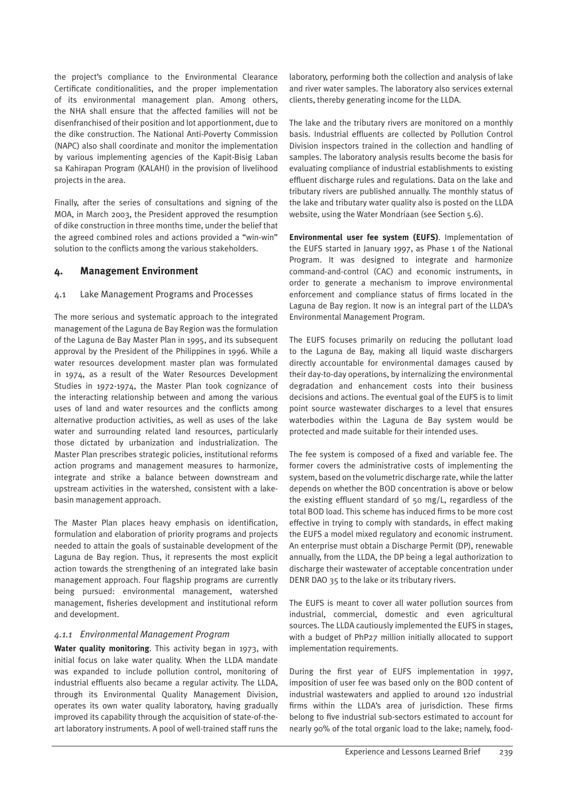the project's compliance to the Environmental Clearance Certificate conditionalities, and the proper implementation of its environmental management plan. Among others, the NHA shall ensure that the affected families will not be disenfranchised of their position and lot apportionment, due to the dike construction. The National Anti-Poverty Commission (NAPC) also shall coordinate and monitor the implementation by various implementing agencies of the Kapit-Bisig Laban sa Kahirapan Program (KALAHI) in the provision of livelihood projects in the area.

Finally, after the series of consultations and signing of the MOA, in March 2003, the President approved the resumption of dike construction in three months time, under the belief that the agreed combined roles and actions provided a "win-win" solution to the conflicts among the various stakeholders.

#### **4. Management Environment**

#### 4.1 Lake Management Programs and Processes

The more serious and systematic approach to the integrated management of the Laguna de Bay Region was the formulation of the Laguna de Bay Master Plan in 1995, and its subsequent approval by the President of the Philippines in 1996. While a water resources development master plan was formulated in 1974, as a result of the Water Resources Development Studies in 1972-1974, the Master Plan took cognizance of the interacting relationship between and among the various uses of land and water resources and the conflicts among alternative production activities, as well as uses of the lake water and surrounding related land resources, particularly those dictated by urbanization and industrialization. The Master Plan prescribes strategic policies, institutional reforms action programs and management measures to harmonize, integrate and strike a balance between downstream and upstream activities in the watershed, consistent with a lakebasin management approach.

The Master Plan places heavy emphasis on identification, formulation and elaboration of priority programs and projects needed to attain the goals of sustainable development of the Laguna de Bay region. Thus, it represents the most explicit action towards the strengthening of an integrated lake basin management approach. Four flagship programs are currently being pursued: environmental management, watershed management, fisheries development and institutional reform and development.

#### *4.1.1 Environmental Management Program*

**Water quality monitoring**. This activity began in 1973, with initial focus on lake water quality. When the LLDA mandate was expanded to include pollution control, monitoring of industrial effluents also became a regular activity. The LLDA, through its Environmental Quality Management Division, operates its own water quality laboratory, having gradually improved its capability through the acquisition of state-of-theart laboratory instruments. A pool of well-trained staff runs the

laboratory, performing both the collection and analysis of lake and river water samples. The laboratory also services external clients, thereby generating income for the LLDA.

The lake and the tributary rivers are monitored on a monthly basis. Industrial effluents are collected by Pollution Control Division inspectors trained in the collection and handling of samples. The laboratory analysis results become the basis for evaluating compliance of industrial establishments to existing effluent discharge rules and regulations. Data on the lake and tributary rivers are published annually. The monthly status of the lake and tributary water quality also is posted on the LLDA website, using the Water Mondriaan (see Section 5.6).

**Environmental user fee system (EUFS)**. Implementation of the EUFS started in January 1997, as Phase 1 of the National Program. It was designed to integrate and harmonize command-and-control (CAC) and economic instruments, in order to generate a mechanism to improve environmental enforcement and compliance status of firms located in the Laguna de Bay region. It now is an integral part of the LLDA's Environmental Management Program.

The EUFS focuses primarily on reducing the pollutant load to the Laguna de Bay, making all liquid waste dischargers directly accountable for environmental damages caused by their day-to-day operations, by internalizing the environmental degradation and enhancement costs into their business decisions and actions. The eventual goal of the EUFS is to limit point source wastewater discharges to a level that ensures waterbodies within the Laguna de Bay system would be protected and made suitable for their intended uses.

The fee system is composed of a fixed and variable fee. The former covers the administrative costs of implementing the system, based on the volumetric discharge rate, while the latter depends on whether the BOD concentration is above or below the existing effluent standard of 50 mg/L, regardless of the total BOD load. This scheme has induced firms to be more cost effective in trying to comply with standards, in effect making the EUFS a model mixed regulatory and economic instrument. An enterprise must obtain a Discharge Permit (DP), renewable annually, from the LLDA, the DP being a legal authorization to discharge their wastewater of acceptable concentration under DENR DAO 35 to the lake or its tributary rivers.

The EUFS is meant to cover all water pollution sources from industrial, commercial, domestic and even agricultural sources. The LLDA cautiously implemented the EUFS in stages, with a budget of PhP27 million initially allocated to support implementation requirements.

During the first year of EUFS implementation in 1997, imposition of user fee was based only on the BOD content of industrial wastewaters and applied to around 120 industrial firms within the LLDA's area of jurisdiction. These firms belong to five industrial sub-sectors estimated to account for nearly 90% of the total organic load to the lake; namely, food-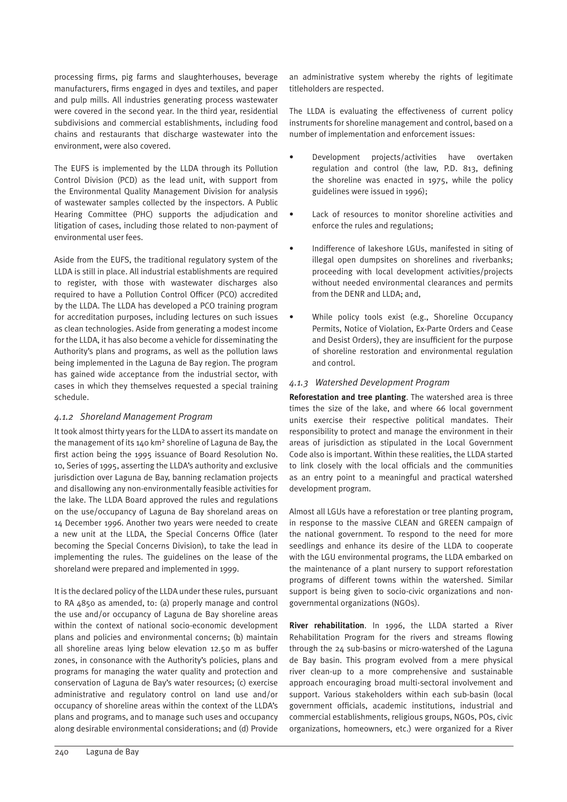processing firms, pig farms and slaughterhouses, beverage manufacturers, firms engaged in dyes and textiles, and paper and pulp mills. All industries generating process wastewater were covered in the second year. In the third year, residential subdivisions and commercial establishments, including food chains and restaurants that discharge wastewater into the environment, were also covered.

The EUFS is implemented by the LLDA through its Pollution Control Division (PCD) as the lead unit, with support from the Environmental Quality Management Division for analysis of wastewater samples collected by the inspectors. A Public Hearing Committee (PHC) supports the adjudication and litigation of cases, including those related to non-payment of environmental user fees.

Aside from the EUFS, the traditional regulatory system of the LLDA is still in place. All industrial establishments are required to register, with those with wastewater discharges also required to have a Pollution Control Officer (PCO) accredited by the LLDA. The LLDA has developed a PCO training program for accreditation purposes, including lectures on such issues as clean technologies. Aside from generating a modest income for the LLDA, it has also become a vehicle for disseminating the Authority's plans and programs, as well as the pollution laws being implemented in the Laguna de Bay region. The program has gained wide acceptance from the industrial sector, with cases in which they themselves requested a special training schedule.

#### *4.1.2 Shoreland Management Program*

It took almost thirty years for the LLDA to assert its mandate on the management of its 140 km<sup>2</sup> shoreline of Laguna de Bay, the first action being the 1995 issuance of Board Resolution No. 10, Series of 1995, asserting the LLDA's authority and exclusive jurisdiction over Laguna de Bay, banning reclamation projects and disallowing any non-environmentally feasible activities for the lake. The LLDA Board approved the rules and regulations on the use/occupancy of Laguna de Bay shoreland areas on 14 December 1996. Another two years were needed to create a new unit at the LLDA, the Special Concerns Office (later becoming the Special Concerns Division), to take the lead in implementing the rules. The guidelines on the lease of the shoreland were prepared and implemented in 1999.

It is the declared policy of the LLDA under these rules, pursuant to RA 4850 as amended, to: (a) properly manage and control the use and/or occupancy of Laguna de Bay shoreline areas within the context of national socio-economic development plans and policies and environmental concerns; (b) maintain all shoreline areas lying below elevation 12.50 m as buffer zones, in consonance with the Authority's policies, plans and programs for managing the water quality and protection and conservation of Laguna de Bay's water resources; (c) exercise administrative and regulatory control on land use and/or occupancy of shoreline areas within the context of the LLDA's plans and programs, and to manage such uses and occupancy along desirable environmental considerations; and (d) Provide an administrative system whereby the rights of legitimate titleholders are respected.

The LLDA is evaluating the effectiveness of current policy instruments for shoreline management and control, based on a number of implementation and enforcement issues:

- Development projects/activities have overtaken regulation and control (the law, P.D. 813, defining the shoreline was enacted in 1975, while the policy guidelines were issued in 1996);
- Lack of resources to monitor shoreline activities and enforce the rules and regulations;
- Indifference of lakeshore LGUs, manifested in siting of illegal open dumpsites on shorelines and riverbanks; proceeding with local development activities/projects without needed environmental clearances and permits from the DENR and LLDA; and,
- While policy tools exist (e.g., Shoreline Occupancy Permits, Notice of Violation, Ex-Parte Orders and Cease and Desist Orders), they are insufficient for the purpose of shoreline restoration and environmental regulation and control.

#### *4.1.3 Watershed Development Program*

**Reforestation and tree planting**. The watershed area is three times the size of the lake, and where 66 local government units exercise their respective political mandates. Their responsibility to protect and manage the environment in their areas of jurisdiction as stipulated in the Local Government Code also is important. Within these realities, the LLDA started to link closely with the local officials and the communities as an entry point to a meaningful and practical watershed development program.

Almost all LGUs have a reforestation or tree planting program, in response to the massive CLEAN and GREEN campaign of the national government. To respond to the need for more seedlings and enhance its desire of the LLDA to cooperate with the LGU environmental programs, the LLDA embarked on the maintenance of a plant nursery to support reforestation programs of different towns within the watershed. Similar support is being given to socio-civic organizations and nongovernmental organizations (NGOs).

**River rehabilitation**. In 1996, the LLDA started a River Rehabilitation Program for the rivers and streams flowing through the 24 sub-basins or micro-watershed of the Laguna de Bay basin. This program evolved from a mere physical river clean-up to a more comprehensive and sustainable approach encouraging broad multi-sectoral involvement and support. Various stakeholders within each sub-basin (local government officials, academic institutions, industrial and commercial establishments, religious groups, NGOs, POs, civic organizations, homeowners, etc.) were organized for a River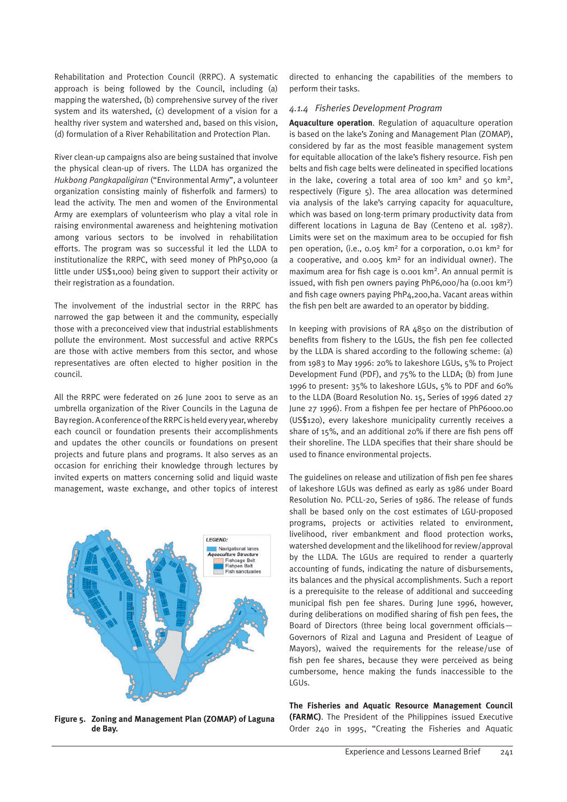Rehabilitation and Protection Council (RRPC). A systematic approach is being followed by the Council, including (a) mapping the watershed, (b) comprehensive survey of the river system and its watershed, (c) development of a vision for a healthy river system and watershed and, based on this vision, (d) formulation of a River Rehabilitation and Protection Plan.

River clean-up campaigns also are being sustained that involve the physical clean-up of rivers. The LLDA has organized the *Hukbong Pangkapaligiran* ("Environmental Army", a volunteer organization consisting mainly of fisherfolk and farmers) to lead the activity. The men and women of the Environmental Army are exemplars of volunteerism who play a vital role in raising environmental awareness and heightening motivation among various sectors to be involved in rehabilitation efforts. The program was so successful it led the LLDA to institutionalize the RRPC, with seed money of PhP50,000 (a little under US\$1,000) being given to support their activity or their registration as a foundation.

The involvement of the industrial sector in the RRPC has narrowed the gap between it and the community, especially those with a preconceived view that industrial establishments pollute the environment. Most successful and active RRPCs are those with active members from this sector, and whose representatives are often elected to higher position in the council.

All the RRPC were federated on 26 June 2001 to serve as an umbrella organization of the River Councils in the Laguna de Bay region. A conference of the RRPC is held every year, whereby each council or foundation presents their accomplishments and updates the other councils or foundations on present projects and future plans and programs. It also serves as an occasion for enriching their knowledge through lectures by invited experts on matters concerning solid and liquid waste management, waste exchange, and other topics of interest



**Figure 5. Zoning and Management Plan (ZOMAP) of Laguna de Bay.**

directed to enhancing the capabilities of the members to perform their tasks.

#### *4.1.4 Fisheries Development Program*

**Aquaculture operation**. Regulation of aquaculture operation is based on the lake's Zoning and Management Plan (ZOMAP), considered by far as the most feasible management system for equitable allocation of the lake's fishery resource. Fish pen belts and fish cage belts were delineated in specified locations in the lake, covering a total area of 100  $km^2$  and 50  $km^2$ , respectively (Figure 5). The area allocation was determined via analysis of the lake's carrying capacity for aquaculture, which was based on long-term primary productivity data from different locations in Laguna de Bay (Centeno et al. 1987). Limits were set on the maximum area to be occupied for fish pen operation, (i.e., 0.05 km2 for a corporation, 0.01 km2 for a cooperative, and 0.005 km2 for an individual owner). The maximum area for fish cage is 0.001 km2. An annual permit is issued, with fish pen owners paying PhP6,000/ha (0.001 km2) and fish cage owners paying PhP4,200,ha. Vacant areas within the fish pen belt are awarded to an operator by bidding.

In keeping with provisions of RA 4850 on the distribution of benefits from fishery to the LGUs, the fish pen fee collected by the LLDA is shared according to the following scheme: (a) from 1983 to May 1996: 20% to lakeshore LGUs, 5% to Project Development Fund (PDF), and 75% to the LLDA; (b) from June 1996 to present: 35% to lakeshore LGUs, 5% to PDF and 60% to the LLDA (Board Resolution No. 15, Series of 1996 dated 27 June 27 1996). From a fishpen fee per hectare of PhP6000.00 (US\$120), every lakeshore municipality currently receives a share of 15%, and an additional 20% if there are fish pens off their shoreline. The LLDA specifies that their share should be used to finance environmental projects.

The guidelines on release and utilization of fish pen fee shares of lakeshore LGUs was defined as early as 1986 under Board Resolution No. PCLL-20, Series of 1986. The release of funds shall be based only on the cost estimates of LGU-proposed programs, projects or activities related to environment, livelihood, river embankment and flood protection works, watershed development and the likelihood for review/approval by the LLDA. The LGUs are required to render a quarterly accounting of funds, indicating the nature of disbursements, its balances and the physical accomplishments. Such a report is a prerequisite to the release of additional and succeeding municipal fish pen fee shares. During June 1996, however, during deliberations on modified sharing of fish pen fees, the Board of Directors (three being local government officials— Governors of Rizal and Laguna and President of League of Mayors), waived the requirements for the release/use of fish pen fee shares, because they were perceived as being cumbersome, hence making the funds inaccessible to the LGUs.

**The Fisheries and Aquatic Resource Management Council (FARMC)**. The President of the Philippines issued Executive Order 240 in 1995, "Creating the Fisheries and Aquatic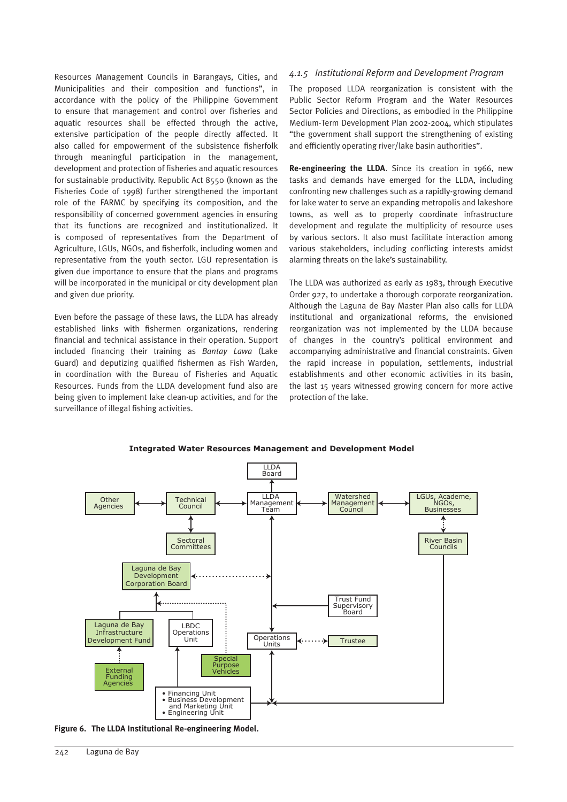Resources Management Councils in Barangays, Cities, and Municipalities and their composition and functions", in accordance with the policy of the Philippine Government to ensure that management and control over fisheries and aquatic resources shall be effected through the active, extensive participation of the people directly affected. It also called for empowerment of the subsistence fisherfolk through meaningful participation in the management, development and protection of fisheries and aquatic resources for sustainable productivity. Republic Act 8550 (known as the Fisheries Code of 1998) further strengthened the important role of the FARMC by specifying its composition, and the responsibility of concerned government agencies in ensuring that its functions are recognized and institutionalized. It is composed of representatives from the Department of Agriculture, LGUs, NGOs, and fisherfolk, including women and representative from the youth sector. LGU representation is given due importance to ensure that the plans and programs will be incorporated in the municipal or city development plan and given due priority.

Even before the passage of these laws, the LLDA has already established links with fishermen organizations, rendering financial and technical assistance in their operation. Support included financing their training as *Bantay Lawa* (Lake Guard) and deputizing qualified fishermen as Fish Warden, in coordination with the Bureau of Fisheries and Aquatic Resources. Funds from the LLDA development fund also are being given to implement lake clean-up activities, and for the surveillance of illegal fishing activities.

#### *4.1.5 Institutional Reform and Development Program*

The proposed LLDA reorganization is consistent with the Public Sector Reform Program and the Water Resources Sector Policies and Directions, as embodied in the Philippine Medium-Term Development Plan 2002-2004, which stipulates "the government shall support the strengthening of existing and efficiently operating river/lake basin authorities".

**Re-engineering the LLDA**. Since its creation in 1966, new tasks and demands have emerged for the LLDA, including confronting new challenges such as a rapidly-growing demand for lake water to serve an expanding metropolis and lakeshore towns, as well as to properly coordinate infrastructure development and regulate the multiplicity of resource uses by various sectors. It also must facilitate interaction among various stakeholders, including conflicting interests amidst alarming threats on the lake's sustainability.

The LLDA was authorized as early as 1983, through Executive Order 927, to undertake a thorough corporate reorganization. Although the Laguna de Bay Master Plan also calls for LLDA institutional and organizational reforms, the envisioned reorganization was not implemented by the LLDA because of changes in the country's political environment and accompanying administrative and financial constraints. Given the rapid increase in population, settlements, industrial establishments and other economic activities in its basin, the last 15 years witnessed growing concern for more active protection of the lake.



**Integrated Water Resources Management and Development Model** 

**Figure 6. The LLDA Institutional Re-engineering Model.**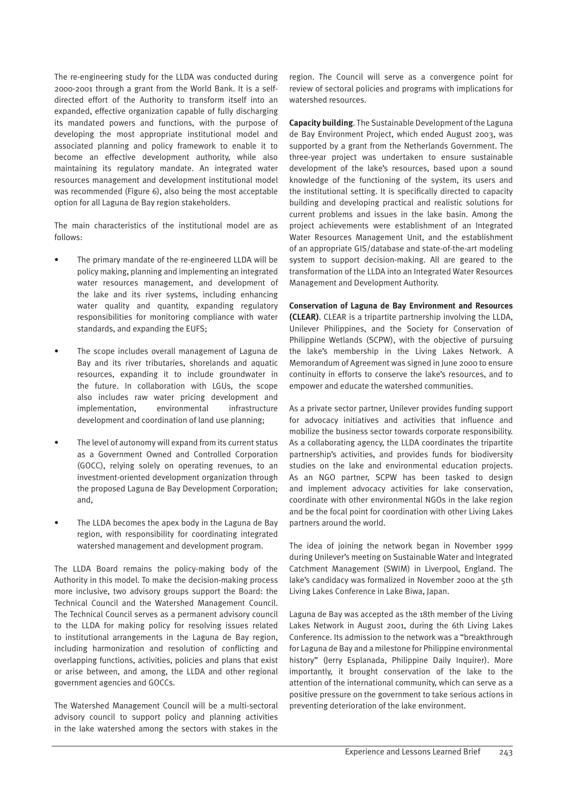The re-engineering study for the LLDA was conducted during 2000-2001 through a grant from the World Bank. It is a selfdirected effort of the Authority to transform itself into an expanded, effective organization capable of fully discharging its mandated powers and functions, with the purpose of developing the most appropriate institutional model and associated planning and policy framework to enable it to become an effective development authority, while also maintaining its regulatory mandate. An integrated water resources management and development institutional model was recommended (Figure 6), also being the most acceptable option for all Laguna de Bay region stakeholders.

The main characteristics of the institutional model are as follows:

- The primary mandate of the re-engineered LLDA will be policy making, planning and implementing an integrated water resources management, and development of the lake and its river systems, including enhancing water quality and quantity, expanding regulatory responsibilities for monitoring compliance with water standards, and expanding the EUFS;
- The scope includes overall management of Laguna de Bay and its river tributaries, shorelands and aquatic resources, expanding it to include groundwater in the future. In collaboration with LGUs, the scope also includes raw water pricing development and implementation, environmental infrastructure development and coordination of land use planning;
- The level of autonomy will expand from its current status as a Government Owned and Controlled Corporation (GOCC), relying solely on operating revenues, to an investment-oriented development organization through the proposed Laguna de Bay Development Corporation; and,
- The LLDA becomes the apex body in the Laguna de Bay region, with responsibility for coordinating integrated watershed management and development program.

The LLDA Board remains the policy-making body of the Authority in this model. To make the decision-making process more inclusive, two advisory groups support the Board: the Technical Council and the Watershed Management Council. The Technical Council serves as a permanent advisory council to the LLDA for making policy for resolving issues related to institutional arrangements in the Laguna de Bay region, including harmonization and resolution of conflicting and overlapping functions, activities, policies and plans that exist or arise between, and among, the LLDA and other regional government agencies and GOCCs.

The Watershed Management Council will be a multi-sectoral advisory council to support policy and planning activities in the lake watershed among the sectors with stakes in the region. The Council will serve as a convergence point for review of sectoral policies and programs with implications for watershed resources.

**Capacity building**. The Sustainable Development of the Laguna de Bay Environment Project, which ended August 2003, was supported by a grant from the Netherlands Government. The three-year project was undertaken to ensure sustainable development of the lake's resources, based upon a sound knowledge of the functioning of the system, its users and the institutional setting. It is specifically directed to capacity building and developing practical and realistic solutions for current problems and issues in the lake basin. Among the project achievements were establishment of an Integrated Water Resources Management Unit, and the establishment of an appropriate GIS/database and state-of-the-art modeling system to support decision-making. All are geared to the transformation of the LLDA into an Integrated Water Resources Management and Development Authority.

**Conservation of Laguna de Bay Environment and Resources (CLEAR)**. CLEAR is a tripartite partnership involving the LLDA, Unilever Philippines, and the Society for Conservation of Philippine Wetlands (SCPW), with the objective of pursuing the lake's membership in the Living Lakes Network. A Memorandum of Agreement was signed in June 2000 to ensure continuity in efforts to conserve the lake's resources, and to empower and educate the watershed communities.

As a private sector partner, Unilever provides funding support for advocacy initiatives and activities that influence and mobilize the business sector towards corporate responsibility. As a collaborating agency, the LLDA coordinates the tripartite partnership's activities, and provides funds for biodiversity studies on the lake and environmental education projects. As an NGO partner, SCPW has been tasked to design and implement advocacy activities for lake conservation, coordinate with other environmental NGOs in the lake region and be the focal point for coordination with other Living Lakes partners around the world.

The idea of joining the network began in November 1999 during Unilever's meeting on Sustainable Water and Integrated Catchment Management (SWIM) in Liverpool, England. The lake's candidacy was formalized in November 2000 at the 5th Living Lakes Conference in Lake Biwa, Japan.

Laguna de Bay was accepted as the 18th member of the Living Lakes Network in August 2001, during the 6th Living Lakes Conference. Its admission to the network was a "breakthrough for Laguna de Bay and a milestone for Philippine environmental history" (Jerry Esplanada, Philippine Daily Inquirer). More importantly, it brought conservation of the lake to the attention of the international community, which can serve as a positive pressure on the government to take serious actions in preventing deterioration of the lake environment.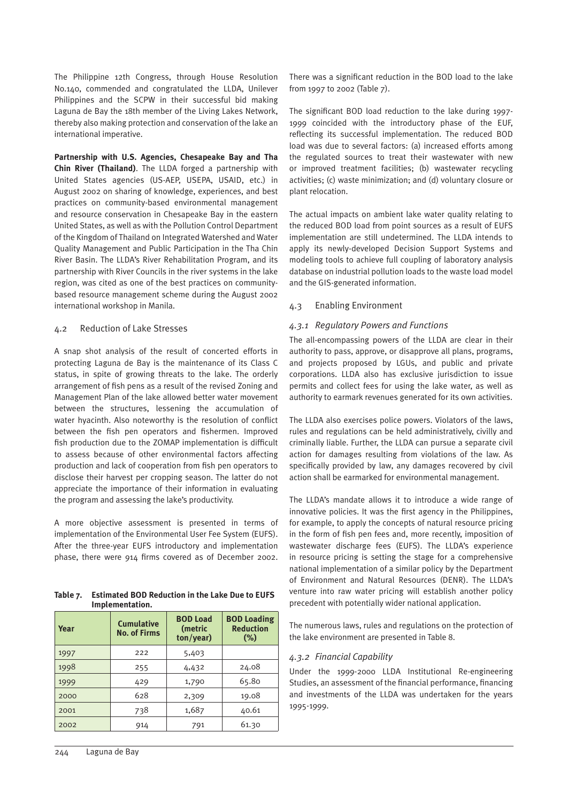The Philippine 12th Congress, through House Resolution No.140, commended and congratulated the LLDA, Unilever Philippines and the SCPW in their successful bid making Laguna de Bay the 18th member of the Living Lakes Network, thereby also making protection and conservation of the lake an international imperative.

**Partnership with U.S. Agencies, Chesapeake Bay and Tha Chin River (Thailand)**. The LLDA forged a partnership with United States agencies (US-AEP, USEPA, USAID, etc.) in August 2002 on sharing of knowledge, experiences, and best practices on community-based environmental management and resource conservation in Chesapeake Bay in the eastern United States, as well as with the Pollution Control Department of the Kingdom of Thailand on Integrated Watershed and Water Quality Management and Public Participation in the Tha Chin River Basin. The LLDA's River Rehabilitation Program, and its partnership with River Councils in the river systems in the lake region, was cited as one of the best practices on communitybased resource management scheme during the August 2002 international workshop in Manila.

#### 4.2 Reduction of Lake Stresses

A snap shot analysis of the result of concerted efforts in protecting Laguna de Bay is the maintenance of its Class C status, in spite of growing threats to the lake. The orderly arrangement of fish pens as a result of the revised Zoning and Management Plan of the lake allowed better water movement between the structures, lessening the accumulation of water hyacinth. Also noteworthy is the resolution of conflict between the fish pen operators and fishermen. Improved fish production due to the ZOMAP implementation is difficult to assess because of other environmental factors affecting production and lack of cooperation from fish pen operators to disclose their harvest per cropping season. The latter do not appreciate the importance of their information in evaluating the program and assessing the lake's productivity.

A more objective assessment is presented in terms of implementation of the Environmental User Fee System (EUFS). After the three-year EUFS introductory and implementation phase, there were 914 firms covered as of December 2002.

| Table 7. | <b>Estimated BOD Reduction in the Lake Due to EUFS</b> |
|----------|--------------------------------------------------------|
|          | Implementation.                                        |

| Year | <b>Cumulative</b><br><b>No. of Firms</b> | <b>BOD Load</b><br>(metric<br>ton/year) | <b>BOD Loading</b><br><b>Reduction</b><br>$(\%)$ |
|------|------------------------------------------|-----------------------------------------|--------------------------------------------------|
| 1997 | 222                                      | 5,403                                   |                                                  |
| 1998 | 255                                      | 4,432                                   | 24.08                                            |
| 1999 | 429                                      | 1,790                                   | 65.80                                            |
| 2000 | 628                                      | 2,309                                   | 19.08                                            |
| 2001 | 738                                      | 1,687                                   | 40.61                                            |
| 2002 | 914                                      | 791                                     | 61.30                                            |

The significant BOD load reduction to the lake during 1997- 1999 coincided with the introductory phase of the EUF, reflecting its successful implementation. The reduced BOD load was due to several factors: (a) increased efforts among the regulated sources to treat their wastewater with new or improved treatment facilities; (b) wastewater recycling activities; (c) waste minimization; and (d) voluntary closure or plant relocation.

The actual impacts on ambient lake water quality relating to the reduced BOD load from point sources as a result of EUFS implementation are still undetermined. The LLDA intends to apply its newly-developed Decision Support Systems and modeling tools to achieve full coupling of laboratory analysis database on industrial pollution loads to the waste load model and the GIS-generated information.

#### 4.3 Enabling Environment

#### *4.3.1 Regulatory Powers and Functions*

The all-encompassing powers of the LLDA are clear in their authority to pass, approve, or disapprove all plans, programs, and projects proposed by LGUs, and public and private corporations. LLDA also has exclusive jurisdiction to issue permits and collect fees for using the lake water, as well as authority to earmark revenues generated for its own activities.

The LLDA also exercises police powers. Violators of the laws, rules and regulations can be held administratively, civilly and criminally liable. Further, the LLDA can pursue a separate civil action for damages resulting from violations of the law. As specifically provided by law, any damages recovered by civil action shall be earmarked for environmental management.

The LLDA's mandate allows it to introduce a wide range of innovative policies. It was the first agency in the Philippines, for example, to apply the concepts of natural resource pricing in the form of fish pen fees and, more recently, imposition of wastewater discharge fees (EUFS). The LLDA's experience in resource pricing is setting the stage for a comprehensive national implementation of a similar policy by the Department of Environment and Natural Resources (DENR). The LLDA's venture into raw water pricing will establish another policy precedent with potentially wider national application.

The numerous laws, rules and regulations on the protection of the lake environment are presented in Table 8.

#### *4.3.2 Financial Capability*

Under the 1999-2000 LLDA Institutional Re-engineering Studies, an assessment of the financial performance, financing and investments of the LLDA was undertaken for the years 1995-1999.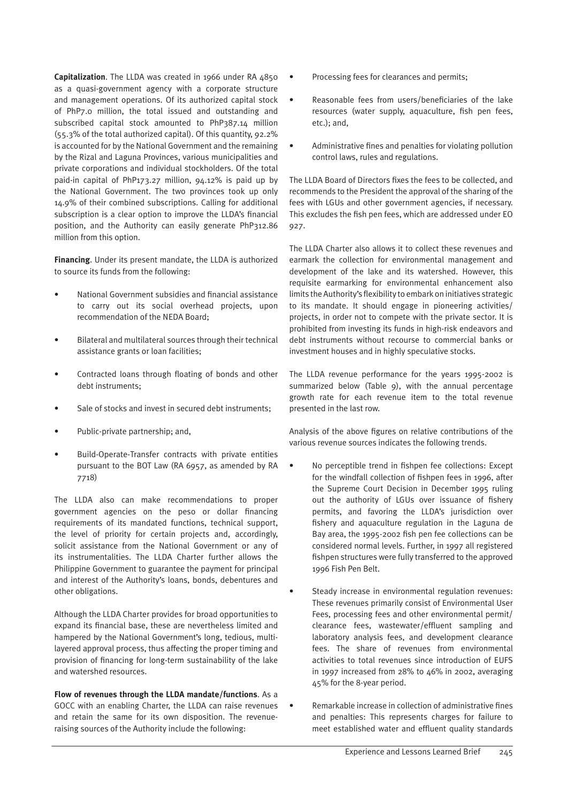**Capitalization**. The LLDA was created in 1966 under RA 4850 as a quasi-government agency with a corporate structure and management operations. Of its authorized capital stock of PhP7.0 million, the total issued and outstanding and subscribed capital stock amounted to PhP387.14 million (55.3% of the total authorized capital). Of this quantity, 92.2% is accounted for by the National Government and the remaining by the Rizal and Laguna Provinces, various municipalities and private corporations and individual stockholders. Of the total paid-in capital of PhP173.27 million, 94.12% is paid up by the National Government. The two provinces took up only 14.9% of their combined subscriptions. Calling for additional subscription is a clear option to improve the LLDA's financial position, and the Authority can easily generate PhP312.86 million from this option.

**Financing**. Under its present mandate, the LLDA is authorized to source its funds from the following:

- National Government subsidies and financial assistance to carry out its social overhead projects, upon recommendation of the NEDA Board;
- Bilateral and multilateral sources through their technical assistance grants or loan facilities;
- Contracted loans through floating of bonds and other debt instruments;
- Sale of stocks and invest in secured debt instruments:
- Public-private partnership; and,
- Build-Operate-Transfer contracts with private entities pursuant to the BOT Law (RA 6957, as amended by RA 7718)

The LLDA also can make recommendations to proper government agencies on the peso or dollar financing requirements of its mandated functions, technical support, the level of priority for certain projects and, accordingly, solicit assistance from the National Government or any of its instrumentalities. The LLDA Charter further allows the Philippine Government to guarantee the payment for principal and interest of the Authority's loans, bonds, debentures and other obligations.

Although the LLDA Charter provides for broad opportunities to expand its financial base, these are nevertheless limited and hampered by the National Government's long, tedious, multilayered approval process, thus affecting the proper timing and provision of financing for long-term sustainability of the lake and watershed resources.

**Flow of revenues through the LLDA mandate/functions**. As a GOCC with an enabling Charter, the LLDA can raise revenues and retain the same for its own disposition. The revenueraising sources of the Authority include the following:

- Processing fees for clearances and permits;
- Reasonable fees from users/beneficiaries of the lake resources (water supply, aquaculture, fish pen fees, etc.); and,
- Administrative fines and penalties for violating pollution control laws, rules and regulations.

The LLDA Board of Directors fixes the fees to be collected, and recommends to the President the approval of the sharing of the fees with LGUs and other government agencies, if necessary. This excludes the fish pen fees, which are addressed under EO 927.

The LLDA Charter also allows it to collect these revenues and earmark the collection for environmental management and development of the lake and its watershed. However, this requisite earmarking for environmental enhancement also limits the Authority's flexibility to embark on initiatives strategic to its mandate. It should engage in pioneering activities/ projects, in order not to compete with the private sector. It is prohibited from investing its funds in high-risk endeavors and debt instruments without recourse to commercial banks or investment houses and in highly speculative stocks.

The LLDA revenue performance for the years 1995-2002 is summarized below (Table 9), with the annual percentage growth rate for each revenue item to the total revenue presented in the last row.

Analysis of the above figures on relative contributions of the various revenue sources indicates the following trends.

- No perceptible trend in fishpen fee collections: Except for the windfall collection of fishpen fees in 1996, after the Supreme Court Decision in December 1995 ruling out the authority of LGUs over issuance of fishery permits, and favoring the LLDA's jurisdiction over fishery and aquaculture regulation in the Laguna de Bay area, the 1995-2002 fish pen fee collections can be considered normal levels. Further, in 1997 all registered fishpen structures were fully transferred to the approved 1996 Fish Pen Belt.
	- Steady increase in environmental regulation revenues: These revenues primarily consist of Environmental User Fees, processing fees and other environmental permit/ clearance fees, wastewater/effluent sampling and laboratory analysis fees, and development clearance fees. The share of revenues from environmental activities to total revenues since introduction of EUFS in 1997 increased from 28% to 46% in 2002, averaging 45% for the 8-year period.
- Remarkable increase in collection of administrative fines and penalties: This represents charges for failure to meet established water and effluent quality standards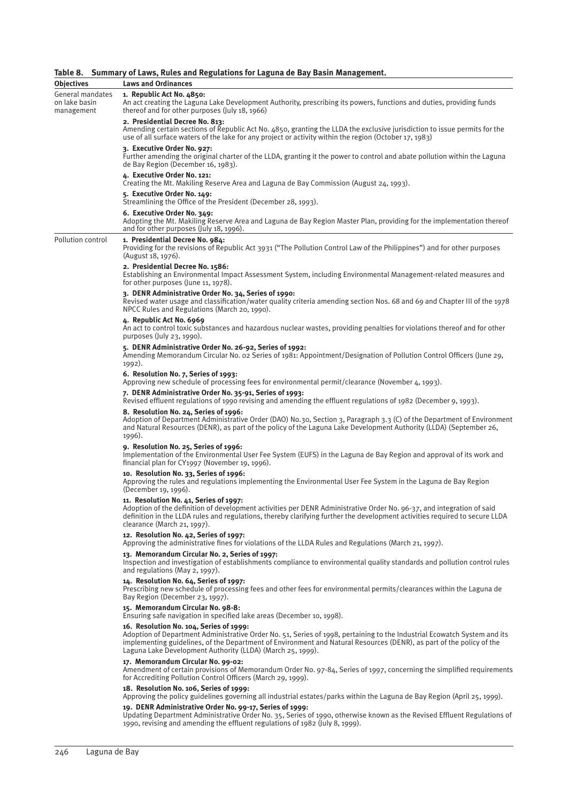#### **Table 8. Summary of Laws, Rules and Regulations for Laguna de Bay Basin Management.**

| <b>Objectives</b>                               | <b>Laws and Ordinances</b>                                                                                                                                                                                                                                                                                                                                |  |  |  |  |  |  |
|-------------------------------------------------|-----------------------------------------------------------------------------------------------------------------------------------------------------------------------------------------------------------------------------------------------------------------------------------------------------------------------------------------------------------|--|--|--|--|--|--|
| General mandates<br>on lake basin<br>management | 1. Republic Act No. 4850:<br>An act creating the Laguna Lake Development Authority, prescribing its powers, functions and duties, providing funds<br>thereof and for other purposes (July 18, 1966)                                                                                                                                                       |  |  |  |  |  |  |
|                                                 | 2. Presidential Decree No. 813:<br>Amending certain sections of Republic Act No. 4850, granting the LLDA the exclusive jurisdiction to issue permits for the<br>use of all surface waters of the lake for any project or activity within the region (October 17, 1983)                                                                                    |  |  |  |  |  |  |
|                                                 | 3. Executive Order No. 927:<br>Further amending the original charter of the LLDA, granting it the power to control and abate pollution within the Laguna<br>de Bay Region (December 16, 1983).                                                                                                                                                            |  |  |  |  |  |  |
|                                                 | 4. Executive Order No. 121:<br>Creating the Mt. Makiling Reserve Area and Laguna de Bay Commission (August 24, 1993).                                                                                                                                                                                                                                     |  |  |  |  |  |  |
|                                                 | 5. Executive Order No. 149:<br>Streamlining the Office of the President (December 28, 1993).                                                                                                                                                                                                                                                              |  |  |  |  |  |  |
|                                                 | 6. Executive Order No. 349:<br>Adopting the Mt. Makiling Reserve Area and Laguna de Bay Region Master Plan, providing for the implementation thereof<br>and for other purposes (July 18, 1996).                                                                                                                                                           |  |  |  |  |  |  |
| Pollution control                               | 1. Presidential Decree No. 984:<br>Providing for the revisions of Republic Act 3931 ("The Pollution Control Law of the Philippines") and for other purposes<br>(August 18, 1976).                                                                                                                                                                         |  |  |  |  |  |  |
|                                                 | 2. Presidential Decree No. 1586:<br>Establishing an Environmental Impact Assessment System, including Environmental Management-related measures and<br>for other purposes (June 11, 1978).                                                                                                                                                                |  |  |  |  |  |  |
|                                                 | 3. DENR Administrative Order No. 34, Series of 1990:<br>Revised water usage and classification/water quality criteria amending section Nos. 68 and 69 and Chapter III of the 1978<br>NPCC Rules and Regulations (March 20, 1990).                                                                                                                         |  |  |  |  |  |  |
|                                                 | 4. Republic Act No. 6969<br>An act to control toxic substances and hazardous nuclear wastes, providing penalties for violations thereof and for other<br>purposes (July 23, 1990).                                                                                                                                                                        |  |  |  |  |  |  |
|                                                 | 5. DENR Administrative Order No. 26-92, Series of 1992:<br>Amending Memorandum Circular No. o2 Series of 1981: Appointment/Designation of Pollution Control Officers (June 29,<br>1992).                                                                                                                                                                  |  |  |  |  |  |  |
|                                                 | 6. Resolution No. 7, Series of 1993:<br>Approving new schedule of processing fees for environmental permit/clearance (November 4, 1993).                                                                                                                                                                                                                  |  |  |  |  |  |  |
|                                                 | 7. DENR Administrative Order No. 35-91, Series of 1993:<br>Revised effluent regulations of 1990 revising and amending the effluent regulations of 1982 (December 9, 1993).                                                                                                                                                                                |  |  |  |  |  |  |
|                                                 | 8. Resolution No. 24, Series of 1996:<br>Adoption of Department Administrative Order (DAO) No.30, Section 3, Paragraph 3.3 (C) of the Department of Environment<br>and Natural Resources (DENR), as part of the policy of the Laguna Lake Development Authority (LLDA) (September 26,<br>1996).                                                           |  |  |  |  |  |  |
|                                                 | 9. Resolution No. 25, Series of 1996:<br>Implementation of the Environmental User Fee System (EUFS) in the Laguna de Bay Region and approval of its work and<br>financial plan for CY1997 (November 19, 1996).                                                                                                                                            |  |  |  |  |  |  |
|                                                 | 10. Resolution No. 33, Series of 1996:<br>Approving the rules and regulations implementing the Environmental User Fee System in the Laguna de Bay Region<br>(December 19, 1996).                                                                                                                                                                          |  |  |  |  |  |  |
|                                                 | 11. Resolution No. 41, Series of 1997:<br>Adoption of the definition of development activities per DENR Administrative Order No. 96-37, and integration of said<br>definition in the LLDA rules and regulations, thereby clarifying further the development activities required to secure LLDA<br>clearance (March 21, 1997).                             |  |  |  |  |  |  |
|                                                 | 12. Resolution No. 42, Series of 1997:<br>Approving the administrative fines for violations of the LLDA Rules and Regulations (March 21, 1997).                                                                                                                                                                                                           |  |  |  |  |  |  |
|                                                 | 13. Memorandum Circular No. 2, Series of 1997:<br>Inspection and investigation of establishments compliance to environmental quality standards and pollution control rules<br>and regulations (May 2, 1997).                                                                                                                                              |  |  |  |  |  |  |
|                                                 | 14. Resolution No. 64, Series of 1997:<br>Prescribing new schedule of processing fees and other fees for environmental permits/clearances within the Laguna de<br>Bay Region (December 23, 1997).                                                                                                                                                         |  |  |  |  |  |  |
|                                                 | 15. Memorandum Circular No. 98-8:<br>Ensuring safe navigation in specified lake areas (December 10, 1998).                                                                                                                                                                                                                                                |  |  |  |  |  |  |
|                                                 | 16. Resolution No. 104, Series of 1999:<br>Adoption of Department Administrative Order No. 51, Series of 1998, pertaining to the Industrial Ecowatch System and its<br>implementing guidelines, of the Department of Environment and Natural Resources (DENR), as part of the policy of the<br>Laguna Lake Development Authority (LLDA) (March 25, 1999). |  |  |  |  |  |  |
|                                                 | 17. Memorandum Circular No. 99-02:<br>Amendment of certain provisions of Memorandum Order No. 97-84, Series of 1997, concerning the simplified requirements<br>for Accrediting Pollution Control Officers (March 29, 1999).                                                                                                                               |  |  |  |  |  |  |
|                                                 | 18. Resolution No. 106, Series of 1999:<br>Approving the policy guidelines governing all industrial estates/parks within the Laguna de Bay Region (April 25, 1999).                                                                                                                                                                                       |  |  |  |  |  |  |
|                                                 | 19. DENR Administrative Order No. 99-17, Series of 1999:<br>Updating Department Administrative Order No. 35, Series of 1990, otherwise known as the Revised Effluent Regulations of<br>1990, revising and amending the effluent regulations of 1982 (July 8, 1999).                                                                                       |  |  |  |  |  |  |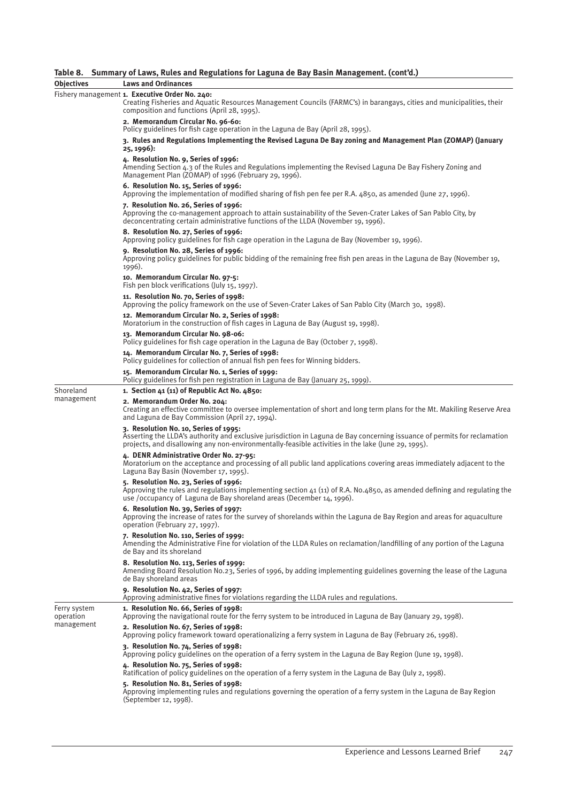#### **Table 8. Summary of Laws, Rules and Regulations for Laguna de Bay Basin Management. (cont'd.)**

| Objectives                | <b>Laws and Ordinances</b>                                                                                                                                                                                                                                               |  |  |  |  |  |
|---------------------------|--------------------------------------------------------------------------------------------------------------------------------------------------------------------------------------------------------------------------------------------------------------------------|--|--|--|--|--|
|                           | Fishery management 1. Executive Order No. 240:<br>Creating Fisheries and Aquatic Resources Management Councils (FARMC's) in barangays, cities and municipalities, their<br>composition and functions (April 28, 1995).                                                   |  |  |  |  |  |
|                           | 2. Memorandum Circular No. 96-60:<br>Policy guidelines for fish cage operation in the Laguna de Bay (April 28, 1995).                                                                                                                                                    |  |  |  |  |  |
|                           | 3. Rules and Regulations Implementing the Revised Laguna De Bay zoning and Management Plan (ZOMAP) (January<br>25, 1996):                                                                                                                                                |  |  |  |  |  |
|                           | 4. Resolution No. 9, Series of 1996:<br>Amending Section 4.3 of the Rules and Regulations implementing the Revised Laguna De Bay Fishery Zoning and<br>Management Plan (ZOMAP) of 1996 (February 29, 1996).                                                              |  |  |  |  |  |
|                           | 6. Resolution No. 15, Series of 1996:<br>Approving the implementation of modified sharing of fish pen fee per R.A. 4850, as amended (June 27, 1996).                                                                                                                     |  |  |  |  |  |
|                           | 7. Resolution No. 26, Series of 1996:<br>Approving the co-management approach to attain sustainability of the Seven-Crater Lakes of San Pablo City, by<br>deconcentrating certain administrative functions of the LLDA (November 19, 1996).                              |  |  |  |  |  |
|                           | 8. Resolution No. 27, Series of 1996:<br>Approving policy guidelines for fish cage operation in the Laguna de Bay (November 19, 1996).                                                                                                                                   |  |  |  |  |  |
|                           | 9. Resolution No. 28, Series of 1996:<br>Approving policy guidelines for public bidding of the remaining free fish pen areas in the Laguna de Bay (November 19,<br>1996).                                                                                                |  |  |  |  |  |
|                           | 10. Memorandum Circular No. 97-5:<br>Fish pen block verifications (July 15, 1997).                                                                                                                                                                                       |  |  |  |  |  |
|                           | 11. Resolution No. 70, Series of 1998:<br>Approving the policy framework on the use of Seven-Crater Lakes of San Pablo City (March 30, 1998).                                                                                                                            |  |  |  |  |  |
|                           | 12. Memorandum Circular No. 2, Series of 1998:<br>Moratorium in the construction of fish cages in Laguna de Bay (August 19, 1998).                                                                                                                                       |  |  |  |  |  |
|                           | 13. Memorandum Circular No. 98-06:<br>Policy guidelines for fish cage operation in the Laguna de Bay (October 7, 1998).                                                                                                                                                  |  |  |  |  |  |
|                           | 14. Memorandum Circular No. 7, Series of 1998:<br>Policy guidelines for collection of annual fish pen fees for Winning bidders.                                                                                                                                          |  |  |  |  |  |
|                           | 15. Memorandum Circular No. 1, Series of 1999:<br>Policy guidelines for fish pen registration in Laguna de Bay (January 25, 1999).                                                                                                                                       |  |  |  |  |  |
| Shoreland                 | 1. Section 41 (11) of Republic Act No. 4850:                                                                                                                                                                                                                             |  |  |  |  |  |
| management                | 2. Memorandum Order No. 204:<br>Creating an effective committee to oversee implementation of short and long term plans for the Mt. Makiling Reserve Area<br>and Laguna de Bay Commission (April 27, 1994).                                                               |  |  |  |  |  |
|                           | 3. Resolution No. 10, Series of 1995:<br>Asserting the LLDA's authority and exclusive jurisdiction in Laguna de Bay concerning issuance of permits for reclamation<br>projects, and disallowing any non-environmentally-feasible activities in the lake (June 29, 1995). |  |  |  |  |  |
|                           | 4. DENR Administrative Order No. 27-95:<br>Moratorium on the acceptance and processing of all public land applications covering areas immediately adjacent to the<br>Laguna Bay Basin (November 17, 1995).                                                               |  |  |  |  |  |
|                           | 5. Resolution No. 23, Series of 1996:<br>Approving the rules and regulations implementing section 41 (11) of R.A. No.4850, as amended defining and regulating the<br>use /occupancy of Laguna de Bay shoreland areas (December 14, 1996).                                |  |  |  |  |  |
|                           | 6. Resolution No. 39, Series of 1997:<br>Approving the increase of rates for the survey of shorelands within the Laguna de Bay Region and areas for aquaculture<br>operation (February 27, 1997).                                                                        |  |  |  |  |  |
|                           | 7. Resolution No. 110, Series of 1999:<br>Amending the Administrative Fine for violation of the LLDA Rules on reclamation/landfilling of any portion of the Laguna<br>de Bay and its shoreland                                                                           |  |  |  |  |  |
|                           | 8. Resolution No. 113, Series of 1999:<br>Amending Board Resolution No.23, Series of 1996, by adding implementing guidelines governing the lease of the Laguna<br>de Bay shoreland areas                                                                                 |  |  |  |  |  |
|                           | 9. Resolution No. 42, Series of 1997:<br>Approving administrative fines for violations regarding the LLDA rules and regulations.                                                                                                                                         |  |  |  |  |  |
| Ferry system<br>operation | 1. Resolution No. 66, Series of 1998:<br>Approving the navigational route for the ferry system to be introduced in Laguna de Bay (January 29, 1998).                                                                                                                     |  |  |  |  |  |
| management                | 2. Resolution No. 67, Series of 1998:<br>Approving policy framework toward operationalizing a ferry system in Laguna de Bay (February 26, 1998).                                                                                                                         |  |  |  |  |  |
|                           | 3. Resolution No. 74, Series of 1998:<br>Approving policy guidelines on the operation of a ferry system in the Laguna de Bay Region (June 19, 1998).                                                                                                                     |  |  |  |  |  |
|                           | 4. Resolution No. 75, Series of 1998:<br>Ratification of policy guidelines on the operation of a ferry system in the Laguna de Bay (July 2, 1998).                                                                                                                       |  |  |  |  |  |
|                           | 5. Resolution No. 81, Series of 1998:<br>Approving implementing rules and regulations governing the operation of a ferry system in the Laguna de Bay Region<br>(September 12, 1998).                                                                                     |  |  |  |  |  |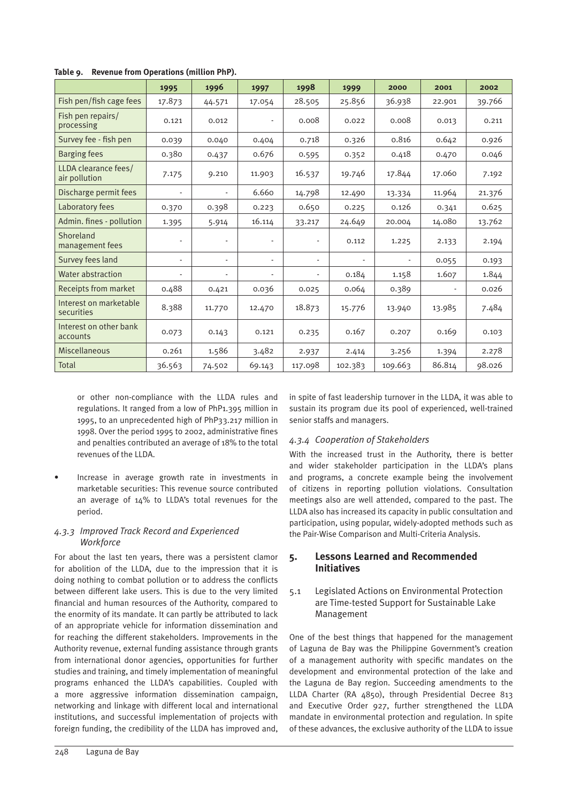|                                       | 1995           | 1996                     | 1997   | 1998                     | 1999    | 2000    | 2001   | 2002   |
|---------------------------------------|----------------|--------------------------|--------|--------------------------|---------|---------|--------|--------|
| Fish pen/fish cage fees               | 17.873         | 44.571                   | 17.054 | 28.505                   | 25.856  | 36.938  | 22.901 | 39.766 |
| Fish pen repairs/<br>processing       | 0.121          | 0.012                    |        | 0.008                    | 0.022   | 0.008   | 0.013  | 0.211  |
| Survey fee - fish pen                 | 0.039          | 0.040                    | 0.404  | 0.718                    | 0.326   | 0.816   | 0.642  | 0.926  |
| <b>Barging fees</b>                   | 0.380          | 0.437                    | 0.676  | 0.595                    | 0.352   | 0.418   | 0.470  | 0.046  |
| LLDA clearance fees/<br>air pollution | 7.175          | 9.210                    | 11.903 | 16.537                   | 19.746  | 17.844  | 17.060 | 7.192  |
| Discharge permit fees                 | $\overline{a}$ | $\overline{\phantom{0}}$ | 6.660  | 14.798                   | 12.490  | 13.334  | 11.964 | 21.376 |
| Laboratory fees                       | 0.370          | 0.398                    | 0.223  | 0.650                    | 0.225   | 0.126   | 0.341  | 0.625  |
| Admin. fines - pollution              | 1.395          | 5.914                    | 16.114 | 33.217                   | 24.649  | 20.004  | 14.080 | 13.762 |
| Shoreland<br>management fees          |                | $\overline{\phantom{a}}$ |        |                          | 0.112   | 1.225   | 2.133  | 2.194  |
| Survey fees land                      |                | $\overline{\phantom{a}}$ |        | $\overline{\phantom{a}}$ | ÷       |         | 0.055  | 0.193  |
| Water abstraction                     |                | $\overline{a}$           |        | $\overline{a}$           | 0.184   | 1.158   | 1.607  | 1.844  |
| Receipts from market                  | 0.488          | 0.421                    | 0.036  | 0.025                    | 0.064   | 0.389   |        | 0.026  |
| Interest on marketable<br>securities  | 8.388          | 11.770                   | 12.470 | 18.873                   | 15.776  | 13.940  | 13.985 | 7.484  |
| Interest on other bank<br>accounts    | 0.073          | 0.143                    | 0.121  | 0.235                    | 0.167   | 0.207   | 0.169  | 0.103  |
| <b>Miscellaneous</b>                  | 0.261          | 1.586                    | 3.482  | 2.937                    | 2.414   | 3.256   | 1.394  | 2.278  |
| Total                                 | 36.563         | 74.502                   | 69.143 | 117.098                  | 102.383 | 109.663 | 86.814 | 98.026 |

**Table 9. Revenue from Operations (million PhP).**

or other non-compliance with the LLDA rules and regulations. It ranged from a low of PhP1.395 million in 1995, to an unprecedented high of PhP33.217 million in 1998. Over the period 1995 to 2002, administrative fines and penalties contributed an average of 18% to the total revenues of the LLDA.

• Increase in average growth rate in investments in marketable securities: This revenue source contributed an average of 14% to LLDA's total revenues for the period.

#### *4.3.3 Improved Track Record and Experienced Workforce*

For about the last ten years, there was a persistent clamor for abolition of the LLDA, due to the impression that it is doing nothing to combat pollution or to address the conflicts between different lake users. This is due to the very limited financial and human resources of the Authority, compared to the enormity of its mandate. It can partly be attributed to lack of an appropriate vehicle for information dissemination and for reaching the different stakeholders. Improvements in the Authority revenue, external funding assistance through grants from international donor agencies, opportunities for further studies and training, and timely implementation of meaningful programs enhanced the LLDA's capabilities. Coupled with a more aggressive information dissemination campaign, networking and linkage with different local and international institutions, and successful implementation of projects with foreign funding, the credibility of the LLDA has improved and, in spite of fast leadership turnover in the LLDA, it was able to sustain its program due its pool of experienced, well-trained senior staffs and managers.

### *4.3.4 Cooperation of Stakeholders*

With the increased trust in the Authority, there is better and wider stakeholder participation in the LLDA's plans and programs, a concrete example being the involvement of citizens in reporting pollution violations. Consultation meetings also are well attended, compared to the past. The LLDA also has increased its capacity in public consultation and participation, using popular, widely-adopted methods such as the Pair-Wise Comparison and Multi-Criteria Analysis.

#### **5. Lessons Learned and Recommended Initiatives**

#### 5.1 Legislated Actions on Environmental Protection are Time-tested Support for Sustainable Lake Management

One of the best things that happened for the management of Laguna de Bay was the Philippine Government's creation of a management authority with specific mandates on the development and environmental protection of the lake and the Laguna de Bay region. Succeeding amendments to the LLDA Charter (RA 4850), through Presidential Decree 813 and Executive Order 927, further strengthened the LLDA mandate in environmental protection and regulation. In spite of these advances, the exclusive authority of the LLDA to issue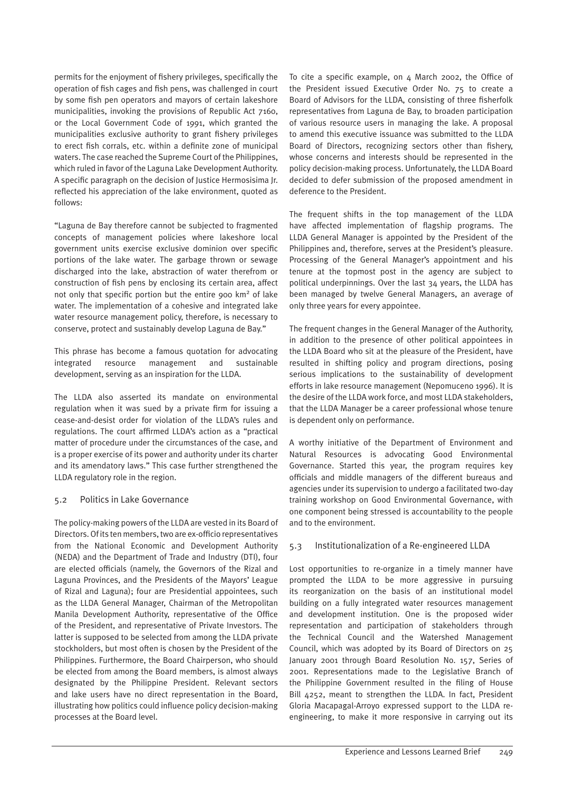permits for the enjoyment of fishery privileges, specifically the operation of fish cages and fish pens, was challenged in court by some fish pen operators and mayors of certain lakeshore municipalities, invoking the provisions of Republic Act 7160, or the Local Government Code of 1991, which granted the municipalities exclusive authority to grant fishery privileges to erect fish corrals, etc. within a definite zone of municipal waters. The case reached the Supreme Court of the Philippines, which ruled in favor of the Laguna Lake Development Authority. A specific paragraph on the decision of Justice Hermosisima Jr. reflected his appreciation of the lake environment, quoted as follows:

"Laguna de Bay therefore cannot be subjected to fragmented concepts of management policies where lakeshore local government units exercise exclusive dominion over specific portions of the lake water. The garbage thrown or sewage discharged into the lake, abstraction of water therefrom or construction of fish pens by enclosing its certain area, affect not only that specific portion but the entire 900 km2 of lake water. The implementation of a cohesive and integrated lake water resource management policy, therefore, is necessary to conserve, protect and sustainably develop Laguna de Bay."

This phrase has become a famous quotation for advocating integrated resource management and sustainable development, serving as an inspiration for the LLDA.

The LLDA also asserted its mandate on environmental regulation when it was sued by a private firm for issuing a cease-and-desist order for violation of the LLDA's rules and regulations. The court affirmed LLDA's action as a "practical matter of procedure under the circumstances of the case, and is a proper exercise of its power and authority under its charter and its amendatory laws." This case further strengthened the LLDA regulatory role in the region.

#### 5.2 Politics in Lake Governance

The policy-making powers of the LLDA are vested in its Board of Directors. Of its ten members, two are ex-officio representatives from the National Economic and Development Authority (NEDA) and the Department of Trade and Industry (DTI), four are elected officials (namely, the Governors of the Rizal and Laguna Provinces, and the Presidents of the Mayors' League of Rizal and Laguna); four are Presidential appointees, such as the LLDA General Manager, Chairman of the Metropolitan Manila Development Authority, representative of the Office of the President, and representative of Private Investors. The latter is supposed to be selected from among the LLDA private stockholders, but most often is chosen by the President of the Philippines. Furthermore, the Board Chairperson, who should be elected from among the Board members, is almost always designated by the Philippine President. Relevant sectors and lake users have no direct representation in the Board, illustrating how politics could influence policy decision-making processes at the Board level.

To cite a specific example, on  $4$  March 2002, the Office of the President issued Executive Order No. 75 to create a Board of Advisors for the LLDA, consisting of three fisherfolk representatives from Laguna de Bay, to broaden participation of various resource users in managing the lake. A proposal to amend this executive issuance was submitted to the LLDA Board of Directors, recognizing sectors other than fishery, whose concerns and interests should be represented in the policy decision-making process. Unfortunately, the LLDA Board decided to defer submission of the proposed amendment in deference to the President.

The frequent shifts in the top management of the LLDA have affected implementation of flagship programs. The LLDA General Manager is appointed by the President of the Philippines and, therefore, serves at the President's pleasure. Processing of the General Manager's appointment and his tenure at the topmost post in the agency are subject to political underpinnings. Over the last 34 years, the LLDA has been managed by twelve General Managers, an average of only three years for every appointee.

The frequent changes in the General Manager of the Authority, in addition to the presence of other political appointees in the LLDA Board who sit at the pleasure of the President, have resulted in shifting policy and program directions, posing serious implications to the sustainability of development efforts in lake resource management (Nepomuceno 1996). It is the desire of the LLDA work force, and most LLDA stakeholders, that the LLDA Manager be a career professional whose tenure is dependent only on performance.

A worthy initiative of the Department of Environment and Natural Resources is advocating Good Environmental Governance. Started this year, the program requires key officials and middle managers of the different bureaus and agencies under its supervision to undergo a facilitated two-day training workshop on Good Environmental Governance, with one component being stressed is accountability to the people and to the environment.

#### 5.3 Institutionalization of a Re-engineered LLDA

Lost opportunities to re-organize in a timely manner have prompted the LLDA to be more aggressive in pursuing its reorganization on the basis of an institutional model building on a fully integrated water resources management and development institution. One is the proposed wider representation and participation of stakeholders through the Technical Council and the Watershed Management Council, which was adopted by its Board of Directors on 25 January 2001 through Board Resolution No. 157, Series of 2001. Representations made to the Legislative Branch of the Philippine Government resulted in the filing of House Bill 4252, meant to strengthen the LLDA. In fact, President Gloria Macapagal-Arroyo expressed support to the LLDA reengineering, to make it more responsive in carrying out its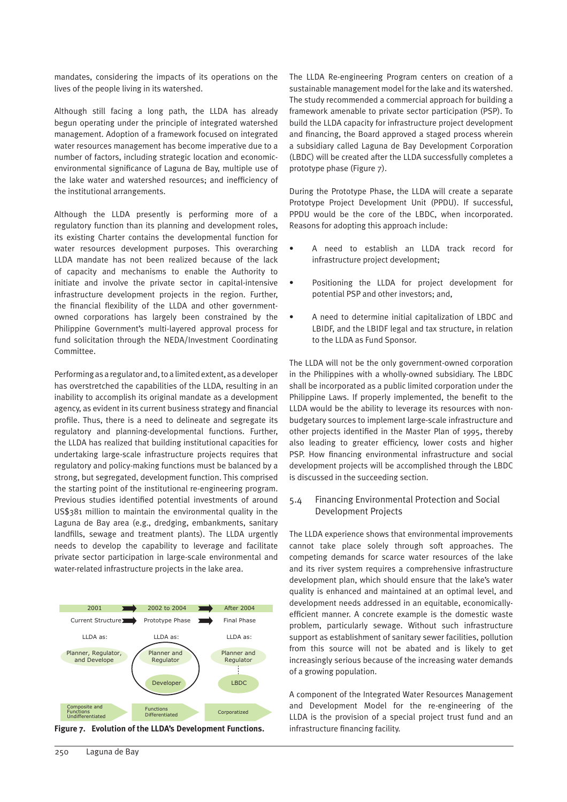mandates, considering the impacts of its operations on the lives of the people living in its watershed.

Although still facing a long path, the LLDA has already begun operating under the principle of integrated watershed management. Adoption of a framework focused on integrated water resources management has become imperative due to a number of factors, including strategic location and economicenvironmental significance of Laguna de Bay, multiple use of the lake water and watershed resources; and inefficiency of the institutional arrangements.

Although the LLDA presently is performing more of a regulatory function than its planning and development roles, its existing Charter contains the developmental function for water resources development purposes. This overarching LLDA mandate has not been realized because of the lack of capacity and mechanisms to enable the Authority to initiate and involve the private sector in capital-intensive infrastructure development projects in the region. Further, the financial flexibility of the LLDA and other governmentowned corporations has largely been constrained by the Philippine Government's multi-layered approval process for fund solicitation through the NEDA/Investment Coordinating Committee.

Performing as a regulator and, to a limited extent, as a developer has overstretched the capabilities of the LLDA, resulting in an inability to accomplish its original mandate as a development agency, as evident in its current business strategy and financial profile. Thus, there is a need to delineate and segregate its regulatory and planning-developmental functions. Further, the LLDA has realized that building institutional capacities for undertaking large-scale infrastructure projects requires that regulatory and policy-making functions must be balanced by a strong, but segregated, development function. This comprised the starting point of the institutional re-engineering program. Previous studies identified potential investments of around US\$381 million to maintain the environmental quality in the Laguna de Bay area (e.g., dredging, embankments, sanitary landfills, sewage and treatment plants). The LLDA urgently needs to develop the capability to leverage and facilitate private sector participation in large-scale environmental and water-related infrastructure projects in the lake area.



**Figure 7. Evolution of the LLDA's Development Functions.** infrastructure financing facility.

The LLDA Re-engineering Program centers on creation of a sustainable management model for the lake and its watershed. The study recommended a commercial approach for building a framework amenable to private sector participation (PSP). To build the LLDA capacity for infrastructure project development and financing, the Board approved a staged process wherein a subsidiary called Laguna de Bay Development Corporation (LBDC) will be created after the LLDA successfully completes a prototype phase (Figure 7).

During the Prototype Phase, the LLDA will create a separate Prototype Project Development Unit (PPDU). If successful, PPDU would be the core of the LBDC, when incorporated. Reasons for adopting this approach include:

- A need to establish an LLDA track record for infrastructure project development;
- Positioning the LLDA for project development for potential PSP and other investors; and,
- A need to determine initial capitalization of LBDC and LBIDF, and the LBIDF legal and tax structure, in relation to the LLDA as Fund Sponsor.

The LLDA will not be the only government-owned corporation in the Philippines with a wholly-owned subsidiary. The LBDC shall be incorporated as a public limited corporation under the Philippine Laws. If properly implemented, the benefit to the LLDA would be the ability to leverage its resources with nonbudgetary sources to implement large-scale infrastructure and other projects identified in the Master Plan of 1995, thereby also leading to greater efficiency, lower costs and higher PSP. How financing environmental infrastructure and social development projects will be accomplished through the LBDC is discussed in the succeeding section.

#### 5.4 Financing Environmental Protection and Social Development Projects

The LLDA experience shows that environmental improvements cannot take place solely through soft approaches. The competing demands for scarce water resources of the lake and its river system requires a comprehensive infrastructure development plan, which should ensure that the lake's water quality is enhanced and maintained at an optimal level, and development needs addressed in an equitable, economicallyefficient manner. A concrete example is the domestic waste problem, particularly sewage. Without such infrastructure support as establishment of sanitary sewer facilities, pollution from this source will not be abated and is likely to get increasingly serious because of the increasing water demands of a growing population.

A component of the Integrated Water Resources Management and Development Model for the re-engineering of the LLDA is the provision of a special project trust fund and an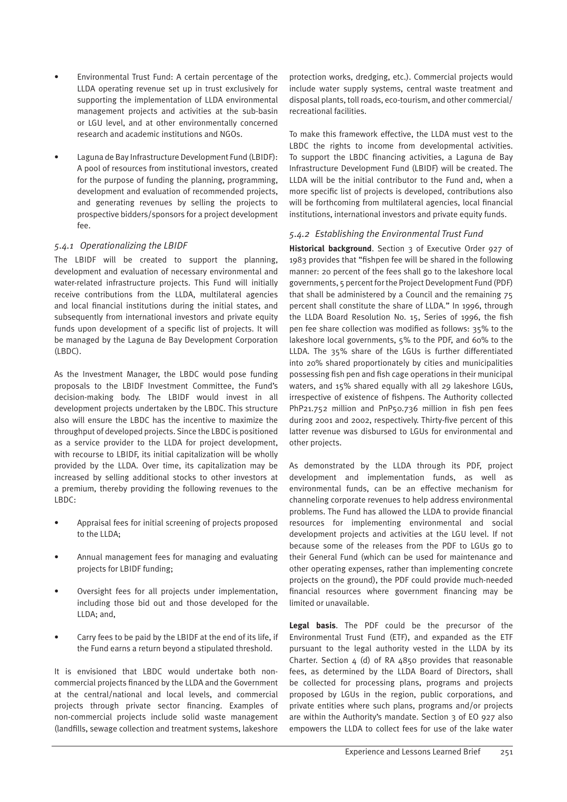- Environmental Trust Fund: A certain percentage of the LLDA operating revenue set up in trust exclusively for supporting the implementation of LLDA environmental management projects and activities at the sub-basin or LGU level, and at other environmentally concerned research and academic institutions and NGOs.
- Laguna de Bay Infrastructure Development Fund (LBIDF): A pool of resources from institutional investors, created for the purpose of funding the planning, programming, development and evaluation of recommended projects, and generating revenues by selling the projects to prospective bidders/sponsors for a project development fee.

#### *5.4.1 Operationalizing the LBIDF*

The LBIDF will be created to support the planning, development and evaluation of necessary environmental and water-related infrastructure projects. This Fund will initially receive contributions from the LLDA, multilateral agencies and local financial institutions during the initial states, and subsequently from international investors and private equity funds upon development of a specific list of projects. It will be managed by the Laguna de Bay Development Corporation  $(IBDC)$ .

As the Investment Manager, the LBDC would pose funding proposals to the LBIDF Investment Committee, the Fund's decision-making body. The LBIDF would invest in all development projects undertaken by the LBDC. This structure also will ensure the LBDC has the incentive to maximize the throughput of developed projects. Since the LBDC is positioned as a service provider to the LLDA for project development, with recourse to LBIDF, its initial capitalization will be wholly provided by the LLDA. Over time, its capitalization may be increased by selling additional stocks to other investors at a premium, thereby providing the following revenues to the LBDC:

- Appraisal fees for initial screening of projects proposed to the LLDA;
- Annual management fees for managing and evaluating projects for LBIDF funding;
- Oversight fees for all projects under implementation, including those bid out and those developed for the LLDA; and,
- Carry fees to be paid by the LBIDF at the end of its life, if the Fund earns a return beyond a stipulated threshold.

It is envisioned that LBDC would undertake both noncommercial projects financed by the LLDA and the Government at the central/national and local levels, and commercial projects through private sector financing. Examples of non-commercial projects include solid waste management (landfills, sewage collection and treatment systems, lakeshore protection works, dredging, etc.). Commercial projects would include water supply systems, central waste treatment and disposal plants, toll roads, eco-tourism, and other commercial/ recreational facilities.

To make this framework effective, the LLDA must vest to the LBDC the rights to income from developmental activities. To support the LBDC financing activities, a Laguna de Bay Infrastructure Development Fund (LBIDF) will be created. The LLDA will be the initial contributor to the Fund and, when a more specific list of projects is developed, contributions also will be forthcoming from multilateral agencies, local financial institutions, international investors and private equity funds.

#### *5.4.2 Establishing the Environmental Trust Fund*

**Historical background**. Section 3 of Executive Order 927 of 1983 provides that "fishpen fee will be shared in the following manner: 20 percent of the fees shall go to the lakeshore local governments, 5 percent for the Project Development Fund (PDF) that shall be administered by a Council and the remaining 75 percent shall constitute the share of LLDA." In 1996, through the LLDA Board Resolution No. 15, Series of 1996, the fish pen fee share collection was modified as follows: 35% to the lakeshore local governments, 5% to the PDF, and 60% to the LLDA. The 35% share of the LGUs is further differentiated into 20% shared proportionately by cities and municipalities possessing fish pen and fish cage operations in their municipal waters, and 15% shared equally with all 29 lakeshore LGUs, irrespective of existence of fishpens. The Authority collected PhP21.752 million and PnP50.736 million in fish pen fees during 2001 and 2002, respectively. Thirty-five percent of this latter revenue was disbursed to LGUs for environmental and other projects.

As demonstrated by the LLDA through its PDF, project development and implementation funds, as well as environmental funds, can be an effective mechanism for channeling corporate revenues to help address environmental problems. The Fund has allowed the LLDA to provide financial resources for implementing environmental and social development projects and activities at the LGU level. If not because some of the releases from the PDF to LGUs go to their General Fund (which can be used for maintenance and other operating expenses, rather than implementing concrete projects on the ground), the PDF could provide much-needed financial resources where government financing may be limited or unavailable.

**Legal basis**. The PDF could be the precursor of the Environmental Trust Fund (ETF), and expanded as the ETF pursuant to the legal authority vested in the LLDA by its Charter. Section  $4$  (d) of RA  $4850$  provides that reasonable fees, as determined by the LLDA Board of Directors, shall be collected for processing plans, programs and projects proposed by LGUs in the region, public corporations, and private entities where such plans, programs and/or projects are within the Authority's mandate. Section 3 of EO 927 also empowers the LLDA to collect fees for use of the lake water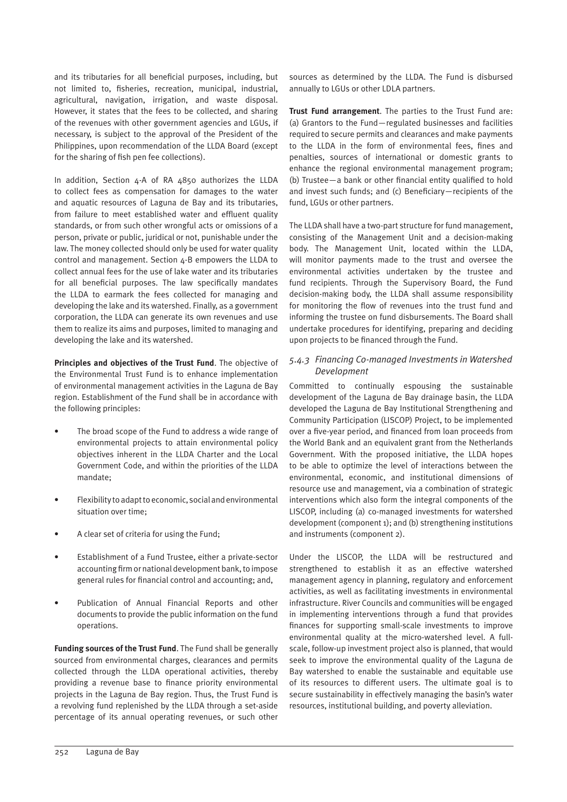and its tributaries for all beneficial purposes, including, but not limited to, fisheries, recreation, municipal, industrial, agricultural, navigation, irrigation, and waste disposal. However, it states that the fees to be collected, and sharing of the revenues with other government agencies and LGUs, if necessary, is subject to the approval of the President of the Philippines, upon recommendation of the LLDA Board (except for the sharing of fish pen fee collections).

In addition, Section 4-A of RA 4850 authorizes the LLDA to collect fees as compensation for damages to the water and aquatic resources of Laguna de Bay and its tributaries, from failure to meet established water and effluent quality standards, or from such other wrongful acts or omissions of a person, private or public, juridical or not, punishable under the law. The money collected should only be used for water quality control and management. Section 4-B empowers the LLDA to collect annual fees for the use of lake water and its tributaries for all beneficial purposes. The law specifically mandates the LLDA to earmark the fees collected for managing and developing the lake and its watershed. Finally, as a government corporation, the LLDA can generate its own revenues and use them to realize its aims and purposes, limited to managing and developing the lake and its watershed.

**Principles and objectives of the Trust Fund**. The objective of the Environmental Trust Fund is to enhance implementation of environmental management activities in the Laguna de Bay region. Establishment of the Fund shall be in accordance with the following principles:

- The broad scope of the Fund to address a wide range of environmental projects to attain environmental policy objectives inherent in the LLDA Charter and the Local Government Code, and within the priorities of the LLDA mandate;
- Flexibility to adapt to economic, social and environmental situation over time;
- A clear set of criteria for using the Fund;
- Establishment of a Fund Trustee, either a private-sector accounting firm or national development bank, to impose general rules for financial control and accounting; and,
- Publication of Annual Financial Reports and other documents to provide the public information on the fund operations.

**Funding sources of the Trust Fund**. The Fund shall be generally sourced from environmental charges, clearances and permits collected through the LLDA operational activities, thereby providing a revenue base to finance priority environmental projects in the Laguna de Bay region. Thus, the Trust Fund is a revolving fund replenished by the LLDA through a set-aside percentage of its annual operating revenues, or such other sources as determined by the LLDA. The Fund is disbursed annually to LGUs or other LDLA partners.

**Trust Fund arrangement**. The parties to the Trust Fund are: (a) Grantors to the Fund—regulated businesses and facilities required to secure permits and clearances and make payments to the LLDA in the form of environmental fees, fines and penalties, sources of international or domestic grants to enhance the regional environmental management program; (b) Trustee—a bank or other financial entity qualified to hold and invest such funds; and (c) Beneficiary—recipients of the fund, LGUs or other partners.

The LLDA shall have a two-part structure for fund management, consisting of the Management Unit and a decision-making body. The Management Unit, located within the LLDA, will monitor payments made to the trust and oversee the environmental activities undertaken by the trustee and fund recipients. Through the Supervisory Board, the Fund decision-making body, the LLDA shall assume responsibility for monitoring the flow of revenues into the trust fund and informing the trustee on fund disbursements. The Board shall undertake procedures for identifying, preparing and deciding upon projects to be financed through the Fund.

#### *5.4.3 Financing Co-managed Investments in Watershed Development*

Committed to continually espousing the sustainable development of the Laguna de Bay drainage basin, the LLDA developed the Laguna de Bay Institutional Strengthening and Community Participation (LISCOP) Project, to be implemented over a five-year period, and financed from loan proceeds from the World Bank and an equivalent grant from the Netherlands Government. With the proposed initiative, the LLDA hopes to be able to optimize the level of interactions between the environmental, economic, and institutional dimensions of resource use and management, via a combination of strategic interventions which also form the integral components of the LISCOP, including (a) co-managed investments for watershed development (component 1); and (b) strengthening institutions and instruments (component 2).

Under the LISCOP, the LLDA will be restructured and strengthened to establish it as an effective watershed management agency in planning, regulatory and enforcement activities, as well as facilitating investments in environmental infrastructure. River Councils and communities will be engaged in implementing interventions through a fund that provides finances for supporting small-scale investments to improve environmental quality at the micro-watershed level. A fullscale, follow-up investment project also is planned, that would seek to improve the environmental quality of the Laguna de Bay watershed to enable the sustainable and equitable use of its resources to different users. The ultimate goal is to secure sustainability in effectively managing the basin's water resources, institutional building, and poverty alleviation.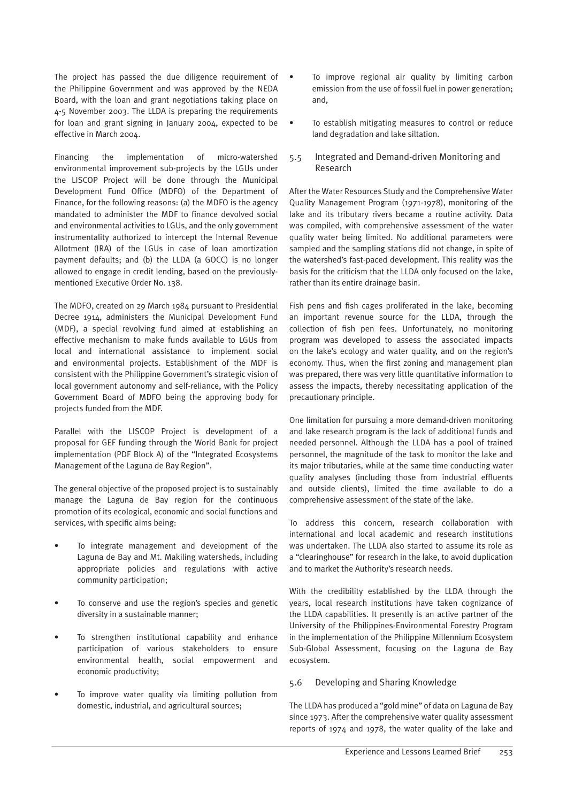The project has passed the due diligence requirement of the Philippine Government and was approved by the NEDA Board, with the loan and grant negotiations taking place on 4-5 November 2003. The LLDA is preparing the requirements for loan and grant signing in January 2004, expected to be effective in March 2004.

Financing the implementation of micro-watershed environmental improvement sub-projects by the LGUs under the LISCOP Project will be done through the Municipal Development Fund Office (MDFO) of the Department of Finance, for the following reasons: (a) the MDFO is the agency mandated to administer the MDF to finance devolved social and environmental activities to LGUs, and the only government instrumentality authorized to intercept the Internal Revenue Allotment (IRA) of the LGUs in case of loan amortization payment defaults; and (b) the LLDA (a GOCC) is no longer allowed to engage in credit lending, based on the previouslymentioned Executive Order No. 138.

The MDFO, created on 29 March 1984 pursuant to Presidential Decree 1914, administers the Municipal Development Fund (MDF), a special revolving fund aimed at establishing an effective mechanism to make funds available to LGUs from local and international assistance to implement social and environmental projects. Establishment of the MDF is consistent with the Philippine Government's strategic vision of local government autonomy and self-reliance, with the Policy Government Board of MDFO being the approving body for projects funded from the MDF.

Parallel with the LISCOP Project is development of a proposal for GEF funding through the World Bank for project implementation (PDF Block A) of the "Integrated Ecosystems Management of the Laguna de Bay Region".

The general objective of the proposed project is to sustainably manage the Laguna de Bay region for the continuous promotion of its ecological, economic and social functions and services, with specific aims being:

- To integrate management and development of the Laguna de Bay and Mt. Makiling watersheds, including appropriate policies and regulations with active community participation;
- To conserve and use the region's species and genetic diversity in a sustainable manner;
- To strengthen institutional capability and enhance participation of various stakeholders to ensure environmental health, social empowerment and economic productivity;
- To improve water quality via limiting pollution from domestic, industrial, and agricultural sources;
- To improve regional air quality by limiting carbon emission from the use of fossil fuel in power generation; and,
- To establish mitigating measures to control or reduce land degradation and lake siltation.
- 5.5 Integrated and Demand-driven Monitoring and Research

After the Water Resources Study and the Comprehensive Water Quality Management Program (1971-1978), monitoring of the lake and its tributary rivers became a routine activity. Data was compiled, with comprehensive assessment of the water quality water being limited. No additional parameters were sampled and the sampling stations did not change, in spite of the watershed's fast-paced development. This reality was the basis for the criticism that the LLDA only focused on the lake, rather than its entire drainage basin.

Fish pens and fish cages proliferated in the lake, becoming an important revenue source for the LLDA, through the collection of fish pen fees. Unfortunately, no monitoring program was developed to assess the associated impacts on the lake's ecology and water quality, and on the region's economy. Thus, when the first zoning and management plan was prepared, there was very little quantitative information to assess the impacts, thereby necessitating application of the precautionary principle.

One limitation for pursuing a more demand-driven monitoring and lake research program is the lack of additional funds and needed personnel. Although the LLDA has a pool of trained personnel, the magnitude of the task to monitor the lake and its major tributaries, while at the same time conducting water quality analyses (including those from industrial effluents and outside clients), limited the time available to do a comprehensive assessment of the state of the lake.

To address this concern, research collaboration with international and local academic and research institutions was undertaken. The LLDA also started to assume its role as a "clearinghouse" for research in the lake, to avoid duplication and to market the Authority's research needs.

With the credibility established by the LLDA through the years, local research institutions have taken cognizance of the LLDA capabilities. It presently is an active partner of the University of the Philippines-Environmental Forestry Program in the implementation of the Philippine Millennium Ecosystem Sub-Global Assessment, focusing on the Laguna de Bay ecosystem.

#### 5.6 Developing and Sharing Knowledge

The LLDA has produced a "gold mine" of data on Laguna de Bay since 1973. After the comprehensive water quality assessment reports of 1974 and 1978, the water quality of the lake and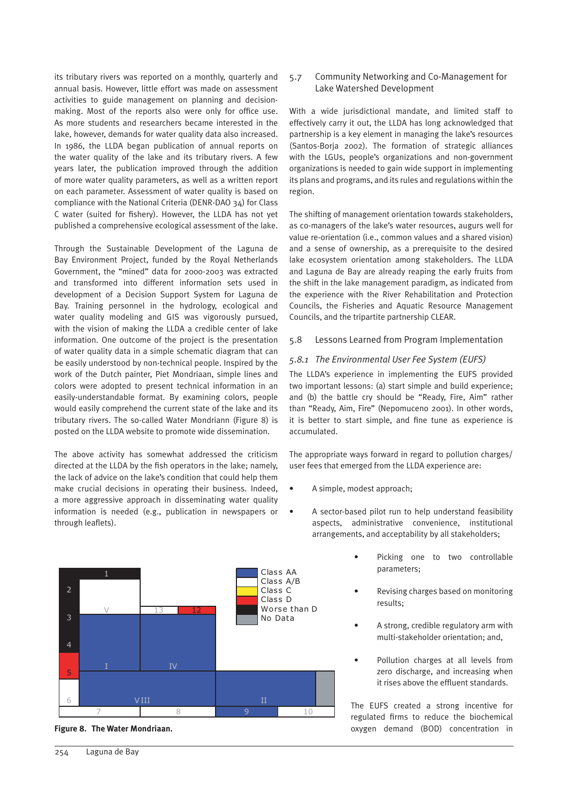its tributary rivers was reported on a monthly, quarterly and annual basis. However, little effort was made on assessment activities to guide management on planning and decisionmaking. Most of the reports also were only for office use. As more students and researchers became interested in the lake, however, demands for water quality data also increased. In 1986, the LLDA began publication of annual reports on the water quality of the lake and its tributary rivers. A few years later, the publication improved through the addition of more water quality parameters, as well as a written report on each parameter. Assessment of water quality is based on compliance with the National Criteria (DENR-DAO 34) for Class C water (suited for fishery). However, the LLDA has not yet published a comprehensive ecological assessment of the lake.

Through the Sustainable Development of the Laguna de Bay Environment Project, funded by the Royal Netherlands Government, the "mined" data for 2000-2003 was extracted and transformed into different information sets used in development of a Decision Support System for Laguna de Bay. Training personnel in the hydrology, ecological and water quality modeling and GIS was vigorously pursued, with the vision of making the LLDA a credible center of lake information. One outcome of the project is the presentation of water quality data in a simple schematic diagram that can be easily understood by non-technical people. Inspired by the work of the Dutch painter, Piet Mondriaan, simple lines and colors were adopted to present technical information in an easily-understandable format. By examining colors, people would easily comprehend the current state of the lake and its tributary rivers. The so-called Water Mondriann (Figure 8) is posted on the LLDA website to promote wide dissemination.

The above activity has somewhat addressed the criticism directed at the LLDA by the fish operators in the lake; namely, the lack of advice on the lake's condition that could help them make crucial decisions in operating their business. Indeed, a more aggressive approach in disseminating water quality information is needed (e.g., publication in newspapers or through leaflets).



#### 5.7 Community Networking and Co-Management for Lake Watershed Development

With a wide jurisdictional mandate, and limited staff to effectively carry it out, the LLDA has long acknowledged that partnership is a key element in managing the lake's resources (Santos-Borja 2002). The formation of strategic alliances with the LGUs, people's organizations and non-government organizations is needed to gain wide support in implementing its plans and programs, and its rules and regulations within the region.

The shifting of management orientation towards stakeholders, as co-managers of the lake's water resources, augurs well for value re-orientation (i.e., common values and a shared vision) and a sense of ownership, as a prerequisite to the desired lake ecosystem orientation among stakeholders. The LLDA and Laguna de Bay are already reaping the early fruits from the shift in the lake management paradigm, as indicated from the experience with the River Rehabilitation and Protection Councils, the Fisheries and Aquatic Resource Management Councils, and the tripartite partnership CLEAR.

5.8 Lessons Learned from Program Implementation

#### *5.8.1 The Environmental User Fee System (EUFS)*

The LLDA's experience in implementing the EUFS provided two important lessons: (a) start simple and build experience; and (b) the battle cry should be "Ready, Fire, Aim" rather than "Ready, Aim, Fire" (Nepomuceno 2001). In other words, it is better to start simple, and fine tune as experience is accumulated.

The appropriate ways forward in regard to pollution charges/ user fees that emerged from the LLDA experience are:

- A simple, modest approach;
- A sector-based pilot run to help understand feasibility aspects, administrative convenience, institutional arrangements, and acceptability by all stakeholders;
	- Picking one to two controllable parameters;
	- Revising charges based on monitoring results;
	- A strong, credible regulatory arm with multi-stakeholder orientation; and,
	- Pollution charges at all levels from zero discharge, and increasing when it rises above the effluent standards.

The EUFS created a strong incentive for regulated firms to reduce the biochemical **Figure 8. The Water Mondriaan. Concentration in oxygen** demand (BOD) concentration in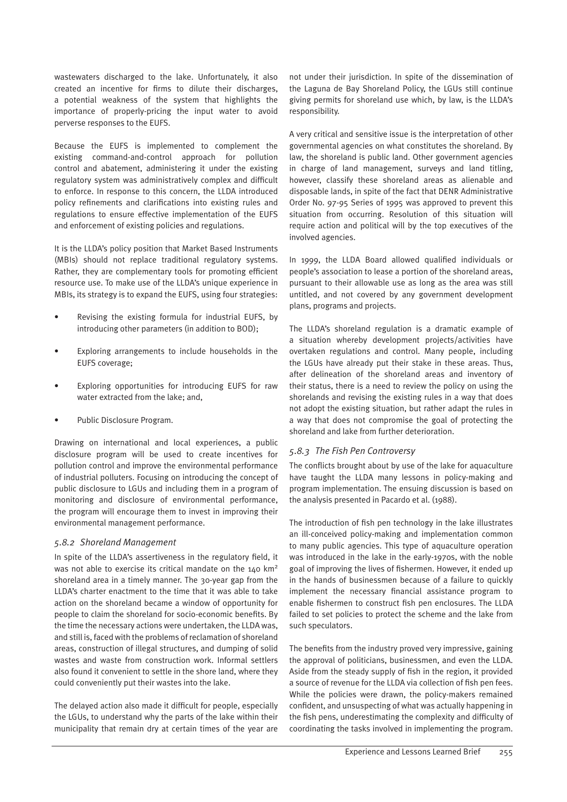wastewaters discharged to the lake. Unfortunately, it also created an incentive for firms to dilute their discharges, a potential weakness of the system that highlights the importance of properly-pricing the input water to avoid perverse responses to the EUFS.

Because the EUFS is implemented to complement the existing command-and-control approach for pollution control and abatement, administering it under the existing regulatory system was administratively complex and difficult to enforce. In response to this concern, the LLDA introduced policy refinements and clarifications into existing rules and regulations to ensure effective implementation of the EUFS and enforcement of existing policies and regulations.

It is the LLDA's policy position that Market Based Instruments (MBIs) should not replace traditional regulatory systems. Rather, they are complementary tools for promoting efficient resource use. To make use of the LLDA's unique experience in MBIs, its strategy is to expand the EUFS, using four strategies:

- Revising the existing formula for industrial EUFS, by introducing other parameters (in addition to BOD);
- Exploring arrangements to include households in the EUFS coverage;
- Exploring opportunities for introducing EUFS for raw water extracted from the lake; and,
- Public Disclosure Program.

Drawing on international and local experiences, a public disclosure program will be used to create incentives for pollution control and improve the environmental performance of industrial polluters. Focusing on introducing the concept of public disclosure to LGUs and including them in a program of monitoring and disclosure of environmental performance, the program will encourage them to invest in improving their environmental management performance.

#### *5.8.2 Shoreland Management*

In spite of the LLDA's assertiveness in the regulatory field, it was not able to exercise its critical mandate on the 140 km2 shoreland area in a timely manner. The 30-year gap from the LLDA's charter enactment to the time that it was able to take action on the shoreland became a window of opportunity for people to claim the shoreland for socio-economic benefits. By the time the necessary actions were undertaken, the LLDA was, and still is, faced with the problems of reclamation of shoreland areas, construction of illegal structures, and dumping of solid wastes and waste from construction work. Informal settlers also found it convenient to settle in the shore land, where they could conveniently put their wastes into the lake.

The delayed action also made it difficult for people, especially the LGUs, to understand why the parts of the lake within their municipality that remain dry at certain times of the year are

not under their jurisdiction. In spite of the dissemination of the Laguna de Bay Shoreland Policy, the LGUs still continue giving permits for shoreland use which, by law, is the LLDA's responsibility.

A very critical and sensitive issue is the interpretation of other governmental agencies on what constitutes the shoreland. By law, the shoreland is public land. Other government agencies in charge of land management, surveys and land titling, however, classify these shoreland areas as alienable and disposable lands, in spite of the fact that DENR Administrative Order No. 97-95 Series of 1995 was approved to prevent this situation from occurring. Resolution of this situation will require action and political will by the top executives of the involved agencies.

In 1999, the LLDA Board allowed qualified individuals or people's association to lease a portion of the shoreland areas, pursuant to their allowable use as long as the area was still untitled, and not covered by any government development plans, programs and projects.

The LLDA's shoreland regulation is a dramatic example of a situation whereby development projects/activities have overtaken regulations and control. Many people, including the LGUs have already put their stake in these areas. Thus, after delineation of the shoreland areas and inventory of their status, there is a need to review the policy on using the shorelands and revising the existing rules in a way that does not adopt the existing situation, but rather adapt the rules in a way that does not compromise the goal of protecting the shoreland and lake from further deterioration.

#### *5.8.3 The Fish Pen Controversy*

The conflicts brought about by use of the lake for aquaculture have taught the LLDA many lessons in policy-making and program implementation. The ensuing discussion is based on the analysis presented in Pacardo et al. (1988).

The introduction of fish pen technology in the lake illustrates an ill-conceived policy-making and implementation common to many public agencies. This type of aquaculture operation was introduced in the lake in the early-1970s, with the noble goal of improving the lives of fishermen. However, it ended up in the hands of businessmen because of a failure to quickly implement the necessary financial assistance program to enable fishermen to construct fish pen enclosures. The LLDA failed to set policies to protect the scheme and the lake from such speculators.

The benefits from the industry proved very impressive, gaining the approval of politicians, businessmen, and even the LLDA. Aside from the steady supply of fish in the region, it provided a source of revenue for the LLDA via collection of fish pen fees. While the policies were drawn, the policy-makers remained confident, and unsuspecting of what was actually happening in the fish pens, underestimating the complexity and difficulty of coordinating the tasks involved in implementing the program.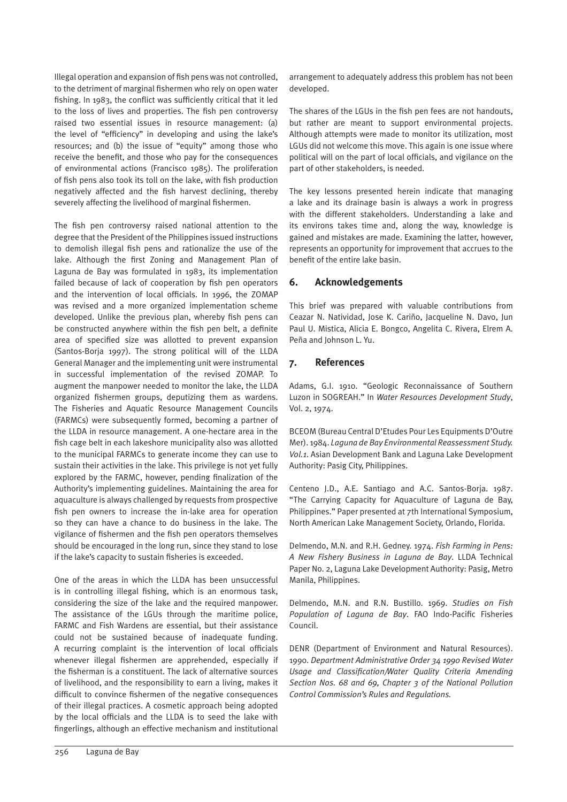Illegal operation and expansion of fish pens was not controlled, to the detriment of marginal fishermen who rely on open water fishing. In 1983, the conflict was sufficiently critical that it led to the loss of lives and properties. The fish pen controversy raised two essential issues in resource management: (a) the level of "efficiency" in developing and using the lake's resources; and (b) the issue of "equity" among those who receive the benefit, and those who pay for the consequences of environmental actions (Francisco 1985). The proliferation of fish pens also took its toll on the lake, with fish production negatively affected and the fish harvest declining, thereby severely affecting the livelihood of marginal fishermen.

The fish pen controversy raised national attention to the degree that the President of the Philippines issued instructions to demolish illegal fish pens and rationalize the use of the lake. Although the first Zoning and Management Plan of Laguna de Bay was formulated in 1983, its implementation failed because of lack of cooperation by fish pen operators and the intervention of local officials. In 1996, the ZOMAP was revised and a more organized implementation scheme developed. Unlike the previous plan, whereby fish pens can be constructed anywhere within the fish pen belt, a definite area of specified size was allotted to prevent expansion (Santos-Borja 1997). The strong political will of the LLDA General Manager and the implementing unit were instrumental in successful implementation of the revised ZOMAP. To augment the manpower needed to monitor the lake, the LLDA organized fishermen groups, deputizing them as wardens. The Fisheries and Aquatic Resource Management Councils (FARMCs) were subsequently formed, becoming a partner of the LLDA in resource management. A one-hectare area in the fish cage belt in each lakeshore municipality also was allotted to the municipal FARMCs to generate income they can use to sustain their activities in the lake. This privilege is not yet fully explored by the FARMC, however, pending finalization of the Authority's implementing guidelines. Maintaining the area for aquaculture is always challenged by requests from prospective fish pen owners to increase the in-lake area for operation so they can have a chance to do business in the lake. The vigilance of fishermen and the fish pen operators themselves should be encouraged in the long run, since they stand to lose if the lake's capacity to sustain fisheries is exceeded.

One of the areas in which the LLDA has been unsuccessful is in controlling illegal fishing, which is an enormous task, considering the size of the lake and the required manpower. The assistance of the LGUs through the maritime police, FARMC and Fish Wardens are essential, but their assistance could not be sustained because of inadequate funding. A recurring complaint is the intervention of local officials whenever illegal fishermen are apprehended, especially if the fisherman is a constituent. The lack of alternative sources of livelihood, and the responsibility to earn a living, makes it difficult to convince fishermen of the negative consequences of their illegal practices. A cosmetic approach being adopted by the local officials and the LLDA is to seed the lake with fingerlings, although an effective mechanism and institutional arrangement to adequately address this problem has not been developed.

The shares of the LGUs in the fish pen fees are not handouts, but rather are meant to support environmental projects. Although attempts were made to monitor its utilization, most LGUs did not welcome this move. This again is one issue where political will on the part of local officials, and vigilance on the part of other stakeholders, is needed.

The key lessons presented herein indicate that managing a lake and its drainage basin is always a work in progress with the different stakeholders. Understanding a lake and its environs takes time and, along the way, knowledge is gained and mistakes are made. Examining the latter, however, represents an opportunity for improvement that accrues to the benefit of the entire lake basin.

#### **6. Acknowledgements**

This brief was prepared with valuable contributions from Ceazar N. Natividad, Jose K. Cariño, Jacqueline N. Davo, Jun Paul U. Mistica, Alicia E. Bongco, Angelita C. Rivera, Elrem A. Peña and Johnson L. Yu.

#### **7. References**

Adams, G.I. 1910. "Geologic Reconnaissance of Southern Luzon in SOGREAH." In *Water Resources Development Study*, Vol. 2, 1974.

BCEOM (Bureau Central D'Etudes Pour Les Equipments D'Outre Mer). 1984. *Laguna de Bay Environmental Reassessment Study. Vol.1*. Asian Development Bank and Laguna Lake Development Authority: Pasig City, Philippines.

Centeno J.D., A.E. Santiago and A.C. Santos-Borja. 1987. "The Carrying Capacity for Aquaculture of Laguna de Bay, Philippines." Paper presented at 7th International Symposium, North American Lake Management Society, Orlando, Florida.

Delmendo, M.N. and R.H. Gedney. 1974. *Fish Farming in Pens: A New Fishery Business in Laguna de Bay*. LLDA Technical Paper No. 2, Laguna Lake Development Authority: Pasig, Metro Manila, Philippines.

Delmendo, M.N. and R.N. Bustillo. 1969. *Studies on Fish Population of Laguna de Bay*. FAO Indo-Pacific Fisheries Council.

DENR (Department of Environment and Natural Resources). 1990. *Department Administrative Order 34 1990 Revised Water Usage and Classification/Water Quality Criteria Amending Section Nos. 68 and 69, Chapter 3 of the National Pollution Control Commission's Rules and Regulations.*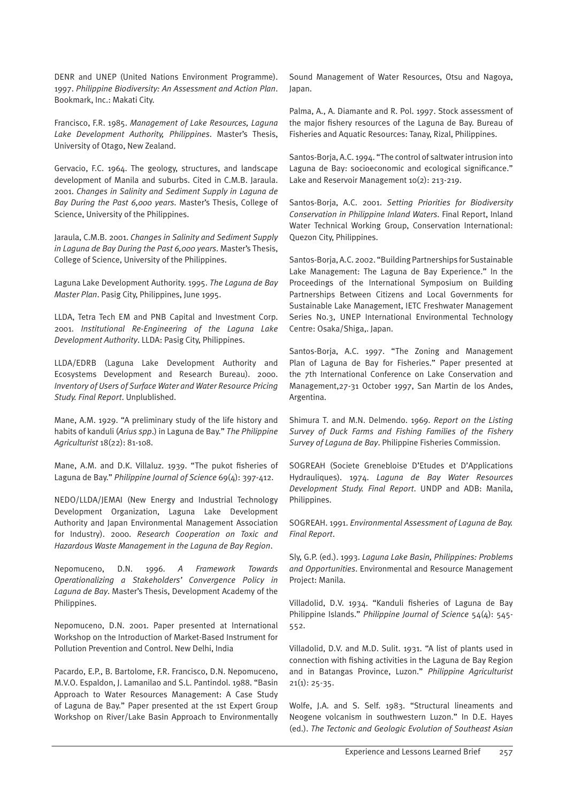DENR and UNEP (United Nations Environment Programme). 1997. *Philippine Biodiversity: An Assessment and Action Plan*. Bookmark, Inc.: Makati City.

Francisco, F.R. 1985. *Management of Lake Resources, Laguna Lake Development Authority, Philippines*. Master's Thesis, University of Otago, New Zealand.

Gervacio, F.C. 1964. The geology, structures, and landscape development of Manila and suburbs. Cited in C.M.B. Jaraula. 2001. *Changes in Salinity and Sediment Supply in Laguna de Bay During the Past 6,000 years*. Master's Thesis, College of Science, University of the Philippines.

Jaraula, C.M.B. 2001. *Changes in Salinity and Sediment Supply in Laguna de Bay During the Past 6,000 years*. Master's Thesis, College of Science, University of the Philippines.

Laguna Lake Development Authority. 1995. *The Laguna de Bay Master Plan*. Pasig City, Philippines, June 1995.

LLDA, Tetra Tech EM and PNB Capital and Investment Corp. 2001. *Institutional Re-Engineering of the Laguna Lake Development Authority*. LLDA: Pasig City, Philippines.

LLDA/EDRB (Laguna Lake Development Authority and Ecosystems Development and Research Bureau). 2000. *Inventory of Users of Surface Water and Water Resource Pricing Study. Final Report*. Unplublished.

Mane, A.M. 1929. "A preliminary study of the life history and habits of kanduli (*Arius spp*.) in Laguna de Bay." *The Philippine Agriculturist* 18(22): 81-108.

Mane, A.M. and D.K. Villaluz. 1939. "The pukot fisheries of Laguna de Bay." *Philippine Journal of Science* 69(4): 397-412.

NEDO/LLDA/JEMAI (New Energy and Industrial Technology Development Organization, Laguna Lake Development Authority and Japan Environmental Management Association for Industry). 2000. *Research Cooperation on Toxic and Hazardous Waste Management in the Laguna de Bay Region*.

Nepomuceno, D.N. 1996. *A Framework Towards Operationalizing a Stakeholders' Convergence Policy in Laguna de Bay*. Master's Thesis, Development Academy of the Philippines.

Nepomuceno, D.N. 2001. Paper presented at International Workshop on the Introduction of Market-Based Instrument for Pollution Prevention and Control. New Delhi, India

Pacardo, E.P., B. Bartolome, F.R. Francisco, D.N. Nepomuceno, M.V.O. Espaldon, J. Lamanilao and S.L. Pantindol. 1988. "Basin Approach to Water Resources Management: A Case Study of Laguna de Bay." Paper presented at the 1st Expert Group Workshop on River/Lake Basin Approach to Environmentally

Sound Management of Water Resources, Otsu and Nagoya, Japan.

Palma, A., A. Diamante and R. Pol. 1997. Stock assessment of the major fishery resources of the Laguna de Bay. Bureau of Fisheries and Aquatic Resources: Tanay, Rizal, Philippines.

Santos-Borja, A.C. 1994. "The control of saltwater intrusion into Laguna de Bay: socioeconomic and ecological significance." Lake and Reservoir Management 10(2): 213-219.

Santos-Borja, A.C. 2001. *Setting Priorities for Biodiversity Conservation in Philippine Inland Waters*. Final Report, Inland Water Technical Working Group, Conservation International: Quezon City, Philippines.

Santos-Borja, A.C. 2002. "Building Partnerships for Sustainable Lake Management: The Laguna de Bay Experience." In the Proceedings of the International Symposium on Building Partnerships Between Citizens and Local Governments for Sustainable Lake Management, IETC Freshwater Management Series No.3, UNEP International Environmental Technology Centre: Osaka/Shiga,. Japan.

Santos-Borja, A.C. 1997. "The Zoning and Management Plan of Laguna de Bay for Fisheries." Paper presented at the 7th International Conference on Lake Conservation and Management,27-31 October 1997, San Martin de los Andes, Argentina.

Shimura T. and M.N. Delmendo. 1969. *Report on the Listing Survey of Duck Farms and Fishing Families of the Fishery Survey of Laguna de Bay*. Philippine Fisheries Commission.

SOGREAH (Societe Grenebloise D'Etudes et D'Applications Hydrauliques). 1974. *Laguna de Bay Water Resources Development Study. Final Report*. UNDP and ADB: Manila, Philippines.

SOGREAH. 1991. *Environmental Assessment of Laguna de Bay. Final Report*.

Sly, G.P. (ed.). 1993. *Laguna Lake Basin, Philippines: Problems and Opportunities*. Environmental and Resource Management Project: Manila.

Villadolid, D.V. 1934. "Kanduli fisheries of Laguna de Bay Philippine Islands." *Philippine Journal of Science* 54(4): 545- 552.

Villadolid, D.V. and M.D. Sulit. 1931. "A list of plants used in connection with fishing activities in the Laguna de Bay Region and in Batangas Province, Luzon." *Philippine Agriculturist*  $21(1): 25-35.$ 

Wolfe, J.A. and S. Self. 1983. "Structural lineaments and Neogene volcanism in southwestern Luzon." In D.E. Hayes (ed.). *The Tectonic and Geologic Evolution of Southeast Asian*